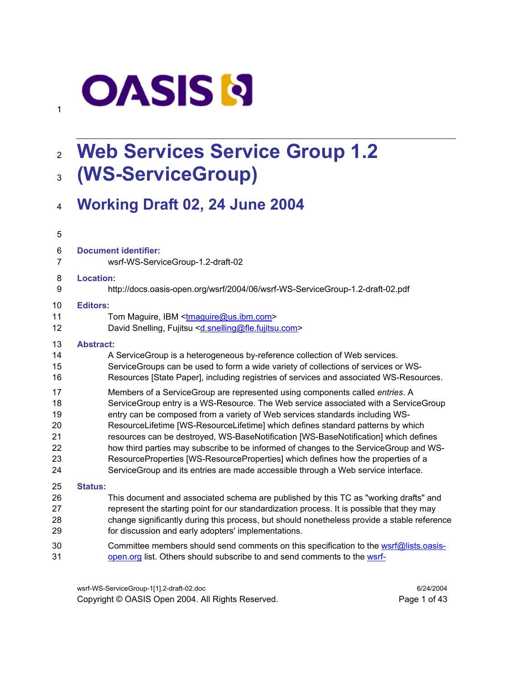# **OASIS N**

1

# **Web Services Service Group 1.2**  2 **(WS-ServiceGroup)**  3

# 4 **Working Draft 02, 24 June 2004**

| 5  |                                                                                             |
|----|---------------------------------------------------------------------------------------------|
| 6  | <b>Document identifier:</b>                                                                 |
| 7  | wsrf-WS-ServiceGroup-1.2-draft-02                                                           |
| 8  | <b>Location:</b>                                                                            |
| 9  | http://docs.oasis-open.org/wsrf/2004/06/wsrf-WS-ServiceGroup-1.2-draft-02.pdf               |
| 10 | <b>Editors:</b>                                                                             |
| 11 | Tom Maguire, IBM <tmaguire@us.ibm.com></tmaguire@us.ibm.com>                                |
| 12 | David Snelling, Fujitsu <d.snelling@fle.fujitsu.com></d.snelling@fle.fujitsu.com>           |
| 13 | <b>Abstract:</b>                                                                            |
| 14 | A ServiceGroup is a heterogeneous by-reference collection of Web services.                  |
| 15 | ServiceGroups can be used to form a wide variety of collections of services or WS-          |
| 16 | Resources [State Paper], including registries of services and associated WS-Resources.      |
| 17 | Members of a ServiceGroup are represented using components called entries. A                |
| 18 | ServiceGroup entry is a WS-Resource. The Web service associated with a ServiceGroup         |
| 19 | entry can be composed from a variety of Web services standards including WS-                |
| 20 | ResourceLifetime [WS-ResourceLifetime] which defines standard patterns by which             |
| 21 | resources can be destroyed, WS-BaseNotification [WS-BaseNotification] which defines         |
| 22 | how third parties may subscribe to be informed of changes to the ServiceGroup and WS-       |
| 23 | ResourceProperties [WS-ResourceProperties] which defines how the properties of a            |
| 24 | ServiceGroup and its entries are made accessible through a Web service interface.           |
| 25 | <b>Status:</b>                                                                              |
| 26 | This document and associated schema are published by this TC as "working drafts" and        |
| 27 | represent the starting point for our standardization process. It is possible that they may  |
| 28 | change significantly during this process, but should nonetheless provide a stable reference |
| 29 | for discussion and early adopters' implementations.                                         |
| 30 | Committee members should send comments on this specification to the wsrf@lists.oasis-       |
| 31 | open.org list. Others should subscribe to and send comments to the wsrf-                    |
|    |                                                                                             |

wsrf-WS-ServiceGroup-1[1].2-draft-02.doc 6/24/2004

Copyright © OASIS Open 2004. All Rights Reserved. Page 1 of 43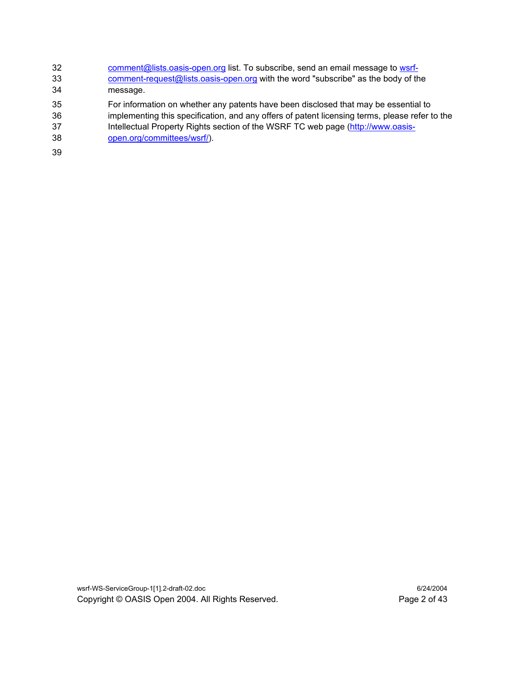[comment@lists.oasis-open.org](mailto:xxx-comment@lists.oasis-open.org) list. To subscribe, send an email message to [wsrf](mailto:xxx-comment-request@lists.oasis-open.org?body=subscribe)[comment-request@lists.oasis-open.org](mailto:xxx-comment-request@lists.oasis-open.org?body=subscribe) with the word "subscribe" as the body of the message. 32 33 34 35 36 For information on whether any patents have been disclosed that may be essential to implementing this specification, and any offers of patent licensing terms, please refer to the Intellectual Property Rights section of the WSRF TC web page [\(http://www.oasis](http://www.oasis-open.org/committees/xxx/)[open.org/committees/wsrf/](http://www.oasis-open.org/committees/xxx/)). 37 38 39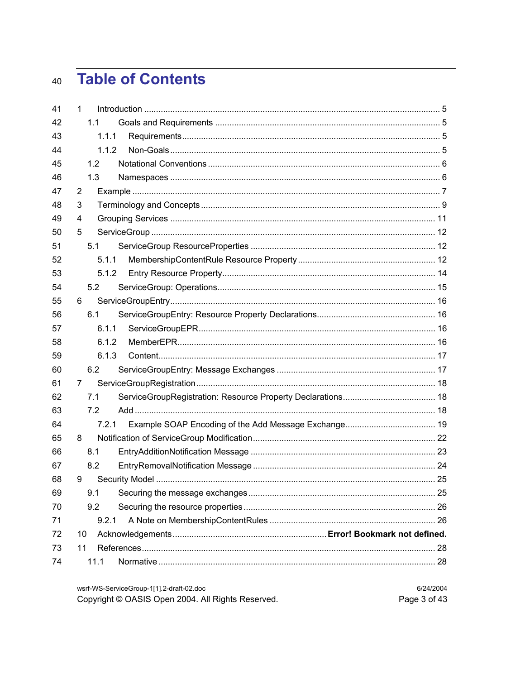# 40 Table of Contents

| 41 | $\mathbf{1}$   |       |  |
|----|----------------|-------|--|
| 42 |                | 1.1   |  |
| 43 |                | 1.1.1 |  |
| 44 |                | 1.1.2 |  |
| 45 |                | 1.2   |  |
| 46 |                | 1.3   |  |
| 47 | 2              |       |  |
| 48 | 3              |       |  |
| 49 | 4              |       |  |
| 50 | 5              |       |  |
| 51 |                | 5.1   |  |
| 52 |                | 5.1.1 |  |
| 53 |                | 5.1.2 |  |
| 54 |                | 5.2   |  |
| 55 | 6              |       |  |
| 56 |                | 6.1   |  |
| 57 |                | 6.1.1 |  |
| 58 |                | 6.1.2 |  |
| 59 |                | 6.1.3 |  |
| 60 |                | 6.2   |  |
| 61 | $\overline{7}$ |       |  |
| 62 |                | 7.1   |  |
| 63 |                | 7.2   |  |
| 64 |                | 7.2.1 |  |
| 65 | 8              |       |  |
| 66 |                | 8.1   |  |
| 67 |                | 8.2   |  |
| 68 | 9              |       |  |
| 69 |                | 9.1   |  |
| 70 |                | 9.2   |  |
| 71 |                | 9.2.1 |  |
| 72 | 10             |       |  |
| 73 | 11             |       |  |
| 74 |                | 11.1  |  |
|    |                |       |  |

| wsrf-WS-ServiceGroup-1[1].2-draft-02.doc          | 6/24/2004    |
|---------------------------------------------------|--------------|
| Copyright © OASIS Open 2004. All Rights Reserved. | Page 3 of 43 |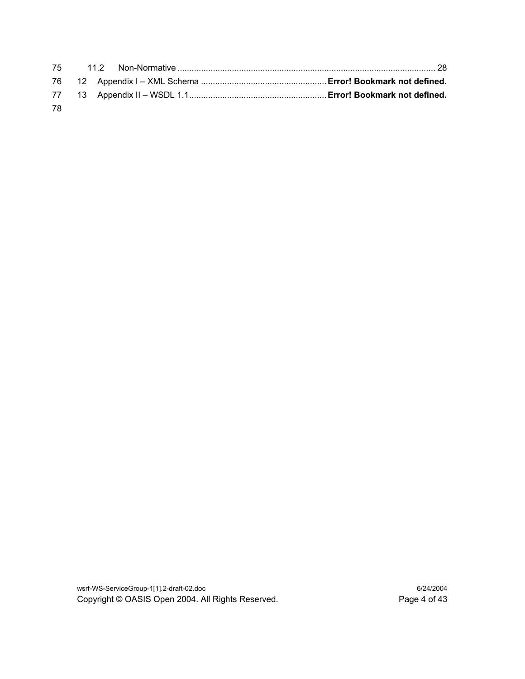| 78 |  |  |
|----|--|--|

wsrf-WS-ServiceGroup-1[1].2-draft-02.doc<br>Copyright © OASIS Open 2004. All Rights Reserved. 6/24/2004 Copyright © OASIS Open 2004. All Rights Reserved.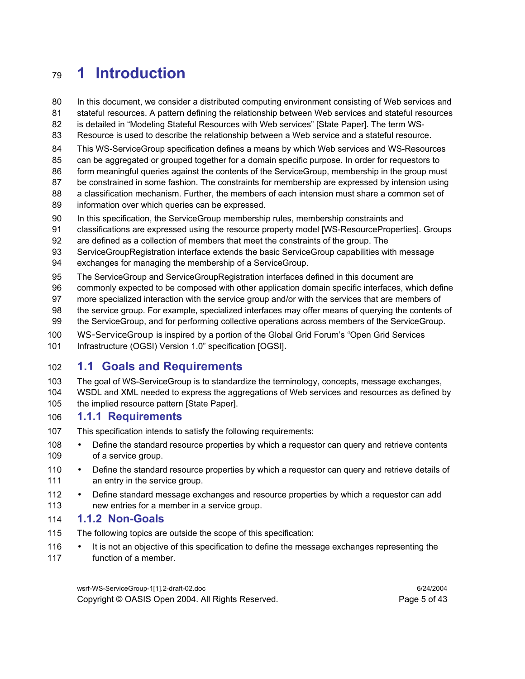# <span id="page-4-0"></span>79 **1 Introduction**

- 80 In this document, we consider a distributed computing environment consisting of Web services and
- 81 stateful resources. A pattern defining the relationship between Web services and stateful resources
- 82 is detailed in "Modeling Stateful Resources with Web services" [State Paper]. The term WS-
- 83 Resource is used to describe the relationship between a Web service and a stateful resource.
- 84 This WS-ServiceGroup specification defines a means by which Web services and WS-Resources
- 85 can be aggregated or grouped together for a domain specific purpose. In order for requestors to
- 86 form meaningful queries against the contents of the ServiceGroup, membership in the group must
- 87 be constrained in some fashion. The constraints for membership are expressed by intension using
- 88 89 a classification mechanism. Further, the members of each intension must share a common set of information over which queries can be expressed.
- 90 In this specification, the ServiceGroup membership rules, membership constraints and
- 91 classifications are expressed using the resource property model [WS-ResourceProperties]. Groups
- 92 are defined as a collection of members that meet the constraints of the group. The
- 93 ServiceGroupRegistration interface extends the basic ServiceGroup capabilities with message
- 94 exchanges for managing the membership of a ServiceGroup.
- 95 The ServiceGroup and ServiceGroupRegistration interfaces defined in this document are
- 96 commonly expected to be composed with other application domain specific interfaces, which define
- 97 more specialized interaction with the service group and/or with the services that are members of
- 98 the service group. For example, specialized interfaces may offer means of querying the contents of
- 99 the ServiceGroup, and for performing collective operations across members of the ServiceGroup.
- 100 101 WS-ServiceGroup is inspired by a portion of the Global Grid Forum's "Open Grid Services Infrastructure (OGSI) Version 1.0" specification [OGSI].

#### 102 **1.1 Goals and Requirements**

103 104 105 The goal of WS-ServiceGroup is to standardize the terminology, concepts, message exchanges, WSDL and XML needed to express the aggregations of Web services and resources as defined by the implied resource pattern [State Paper].

#### 106 **1.1.1 Requirements**

- 107 This specification intends to satisfy the following requirements:
- 108 109 • Define the standard resource properties by which a requestor can query and retrieve contents of a service group.
- 110 111 • Define the standard resource properties by which a requestor can query and retrieve details of an entry in the service group.
- 112 113 • Define standard message exchanges and resource properties by which a requestor can add new entries for a member in a service group.

#### 114 **1.1.2 Non-Goals**

- 115 The following topics are outside the scope of this specification:
- 116 117 • It is not an objective of this specification to define the message exchanges representing the function of a member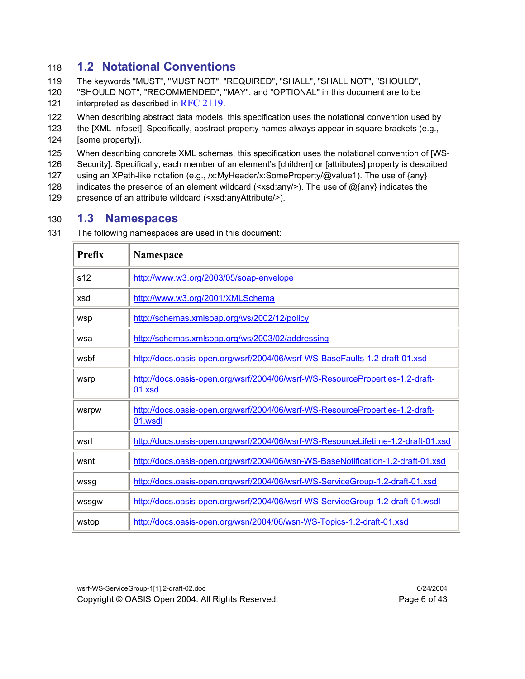# <span id="page-5-0"></span>118 **1.2 Notational Conventions**

- 119 The keywords "MUST", "MUST NOT", "REQUIRED", "SHALL", "SHALL NOT", "SHOULD",
- 120 "SHOULD NOT", "RECOMMENDED", "MAY", and "OPTIONAL" in this document are to be 121 interpreted as described in [RFC 2119](#page-27-0).
- 122 When describing abstract data models, this specification uses the notational convention used by
- 123 124 the [XML Infoset]. Specifically, abstract property names always appear in square brackets (e.g., [some property]).
- 125 When describing concrete XML schemas, this specification uses the notational convention of [WS-
- 126 Security]. Specifically, each member of an element's [children] or [attributes] property is described
- 127 using an XPath-like notation (e.g., /x:MyHeader/x:SomeProperty/@value1). The use of {any}
- 128 indicates the presence of an element wildcard (<xsd:any/>). The use of @{any} indicates the
- 129 presence of an attribute wildcard (<xsd:anyAttribute/>).

#### 130 **1.3 Namespaces**

131 The following namespaces are used in this document:

| <b>Prefix</b>   | <b>Namespace</b>                                                                         |
|-----------------|------------------------------------------------------------------------------------------|
| s <sub>12</sub> | http://www.w3.org/2003/05/soap-envelope                                                  |
| xsd             | http://www.w3.org/2001/XMLSchema                                                         |
| wsp             | http://schemas.xmlsoap.org/ws/2002/12/policy                                             |
| wsa             | http://schemas.xmlsoap.org/ws/2003/02/addressing                                         |
| wsbf            | http://docs.oasis-open.org/wsrf/2004/06/wsrf-WS-BaseFaults-1.2-draft-01.xsd              |
| wsrp            | http://docs.oasis-open.org/wsrf/2004/06/wsrf-WS-ResourceProperties-1.2-draft-<br>01.xsd  |
| wsrpw           | http://docs.oasis-open.org/wsrf/2004/06/wsrf-WS-ResourceProperties-1.2-draft-<br>01.wsdl |
| wsrl            | http://docs.oasis-open.org/wsrf/2004/06/wsrf-WS-ResourceLifetime-1.2-draft-01.xsd        |
| wsnt            | http://docs.oasis-open.org/wsrf/2004/06/wsn-WS-BaseNotification-1.2-draft-01.xsd         |
| wssg            | http://docs.oasis-open.org/wsrf/2004/06/wsrf-WS-ServiceGroup-1.2-draft-01.xsd            |
| wssgw           | http://docs.oasis-open.org/wsrf/2004/06/wsrf-WS-ServiceGroup-1.2-draft-01.wsdl           |
| wstop           | http://docs.oasis-open.org/wsn/2004/06/wsn-WS-Topics-1.2-draft-01.xsd                    |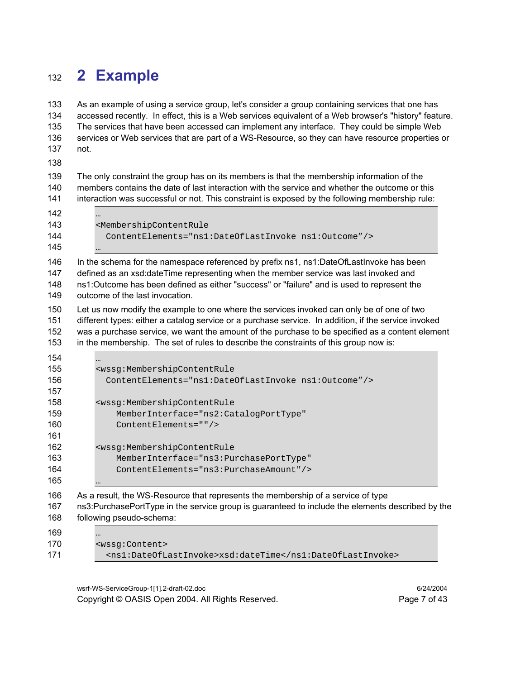# <span id="page-6-0"></span>**2 Example**

| 134                                                                | As an example of using a service group, let's consider a group containing services that one has<br>accessed recently. In effect, this is a Web services equivalent of a Web browser's "history" feature. |
|--------------------------------------------------------------------|----------------------------------------------------------------------------------------------------------------------------------------------------------------------------------------------------------|
| 135                                                                | The services that have been accessed can implement any interface. They could be simple Web                                                                                                               |
| 136                                                                | services or Web services that are part of a WS-Resource, so they can have resource properties or                                                                                                         |
| 137                                                                | not.                                                                                                                                                                                                     |
| 138                                                                |                                                                                                                                                                                                          |
| 139                                                                | The only constraint the group has on its members is that the membership information of the                                                                                                               |
| 140                                                                | members contains the date of last interaction with the service and whether the outcome or this                                                                                                           |
| 141                                                                | interaction was successful or not. This constraint is exposed by the following membership rule:                                                                                                          |
| 142                                                                |                                                                                                                                                                                                          |
| 143                                                                | <membershipcontentrule< td=""></membershipcontentrule<>                                                                                                                                                  |
| 144                                                                | ContentElements="ns1:DateOfLastInvoke ns1:Outcome"/>                                                                                                                                                     |
| 145                                                                |                                                                                                                                                                                                          |
| 146                                                                | In the schema for the namespace referenced by prefix ns1, ns1:DateOfLastInvoke has been                                                                                                                  |
| 147                                                                | defined as an xsd:dateTime representing when the member service was last invoked and                                                                                                                     |
| 148                                                                | ns1:Outcome has been defined as either "success" or "failure" and is used to represent the                                                                                                               |
| 149                                                                | outcome of the last invocation.                                                                                                                                                                          |
| 150                                                                | Let us now modify the example to one where the services invoked can only be of one of two                                                                                                                |
| 151                                                                | different types: either a catalog service or a purchase service. In addition, if the service invoked                                                                                                     |
| 152                                                                | was a purchase service, we want the amount of the purchase to be specified as a content element                                                                                                          |
| 153                                                                | in the membership. The set of rules to describe the constraints of this group now is:                                                                                                                    |
| 154                                                                |                                                                                                                                                                                                          |
| 155                                                                | <wssg:membershipcontentrule< td=""></wssg:membershipcontentrule<>                                                                                                                                        |
| 156                                                                |                                                                                                                                                                                                          |
|                                                                    |                                                                                                                                                                                                          |
|                                                                    | ContentElements="nsl:DateOfLastInvoke nsl:Outcome"/>                                                                                                                                                     |
|                                                                    | <wssg:membershipcontentrule< td=""></wssg:membershipcontentrule<>                                                                                                                                        |
|                                                                    | MemberInterface="ns2:CatalogPortType"                                                                                                                                                                    |
|                                                                    | ContentElements=""/>                                                                                                                                                                                     |
|                                                                    |                                                                                                                                                                                                          |
|                                                                    | <wssg:membershipcontentrule< td=""></wssg:membershipcontentrule<>                                                                                                                                        |
|                                                                    | MemberInterface="ns3:PurchasePortType"                                                                                                                                                                   |
|                                                                    | ContentElements="ns3:PurchaseAmount"/>                                                                                                                                                                   |
|                                                                    |                                                                                                                                                                                                          |
| 157<br>158<br>159<br>160<br>161<br>162<br>163<br>164<br>165<br>166 | As a result, the WS-Resource that represents the membership of a service of type                                                                                                                         |
| 167                                                                | ns3:PurchasePortType in the service group is guaranteed to include the elements described by the                                                                                                         |
| 168                                                                | following pseudo-schema:                                                                                                                                                                                 |
|                                                                    |                                                                                                                                                                                                          |
| 169<br>170                                                         | <br><wssg:content></wssg:content>                                                                                                                                                                        |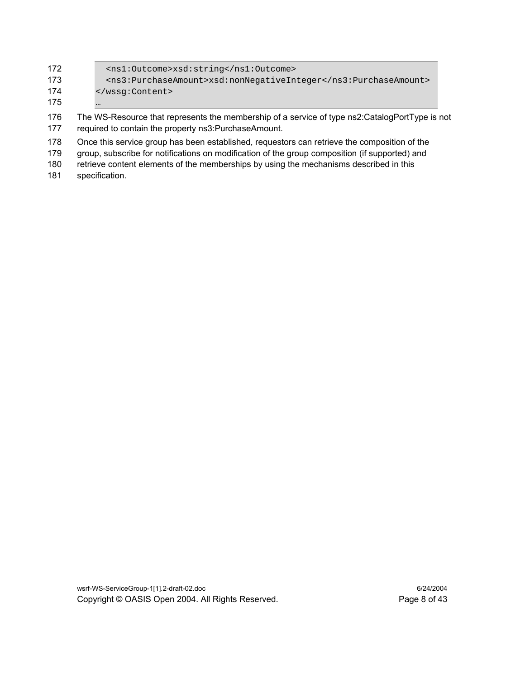- 172 <ns1:Outcome>xsd:string</ns1:Outcome>
- 173 <ns3:PurchaseAmount>xsd:nonNegativeInteger</ns3:PurchaseAmount>
- 174 </wssg:Content>
- 175 …
- 176 The WS-Resource that represents the membership of a service of type ns2:CatalogPortType is not
- 177 required to contain the property ns3:PurchaseAmount.
- 178 Once this service group has been established, requestors can retrieve the composition of the
- 179 group, subscribe for notifications on modification of the group composition (if supported) and
- 180 retrieve content elements of the memberships by using the mechanisms described in this
- 181 specification.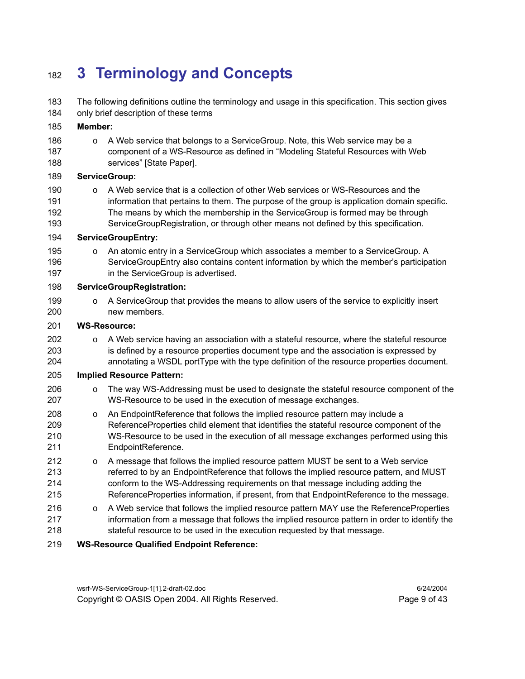# <span id="page-8-0"></span>182 **3 Terminology and Concepts**

183 184 The following definitions outline the terminology and usage in this specification. This section gives only brief description of these terms

| 185                      | Member: |                                                                                                                                                                                                                                                                                                                                                            |  |
|--------------------------|---------|------------------------------------------------------------------------------------------------------------------------------------------------------------------------------------------------------------------------------------------------------------------------------------------------------------------------------------------------------------|--|
| 186<br>187<br>188        | $\circ$ | A Web service that belongs to a ServiceGroup. Note, this Web service may be a<br>component of a WS-Resource as defined in "Modeling Stateful Resources with Web<br>services" [State Paper].                                                                                                                                                                |  |
| 189                      |         | <b>ServiceGroup:</b>                                                                                                                                                                                                                                                                                                                                       |  |
| 190<br>191<br>192<br>193 | $\circ$ | A Web service that is a collection of other Web services or WS-Resources and the<br>information that pertains to them. The purpose of the group is application domain specific.<br>The means by which the membership in the ServiceGroup is formed may be through<br>ServiceGroupRegistration, or through other means not defined by this specification.   |  |
| 194                      |         | <b>ServiceGroupEntry:</b>                                                                                                                                                                                                                                                                                                                                  |  |
| 195<br>196<br>197        | $\circ$ | An atomic entry in a ServiceGroup which associates a member to a ServiceGroup. A<br>ServiceGroupEntry also contains content information by which the member's participation<br>in the ServiceGroup is advertised.                                                                                                                                          |  |
| 198                      |         | ServiceGroupRegistration:                                                                                                                                                                                                                                                                                                                                  |  |
| 199<br>200               | $\circ$ | A ServiceGroup that provides the means to allow users of the service to explicitly insert<br>new members.                                                                                                                                                                                                                                                  |  |
| 201                      |         | <b>WS-Resource:</b>                                                                                                                                                                                                                                                                                                                                        |  |
| 202<br>203<br>204        | $\circ$ | A Web service having an association with a stateful resource, where the stateful resource<br>is defined by a resource properties document type and the association is expressed by<br>annotating a WSDL portType with the type definition of the resource properties document.                                                                             |  |
| 205                      |         | <b>Implied Resource Pattern:</b>                                                                                                                                                                                                                                                                                                                           |  |
| 206<br>207               | $\circ$ | The way WS-Addressing must be used to designate the stateful resource component of the<br>WS-Resource to be used in the execution of message exchanges.                                                                                                                                                                                                    |  |
| 208<br>209<br>210<br>211 | $\circ$ | An EndpointReference that follows the implied resource pattern may include a<br>ReferenceProperties child element that identifies the stateful resource component of the<br>WS-Resource to be used in the execution of all message exchanges performed using this<br>EndpointReference.                                                                    |  |
| 212<br>213<br>214<br>215 | O       | A message that follows the implied resource pattern MUST be sent to a Web service<br>referred to by an EndpointReference that follows the implied resource pattern, and MUST<br>conform to the WS-Addressing requirements on that message including adding the<br>ReferenceProperties information, if present, from that EndpointReference to the message. |  |
| 216<br>217<br>218        | O       | A Web service that follows the implied resource pattern MAY use the ReferenceProperties<br>information from a message that follows the implied resource pattern in order to identify the<br>stateful resource to be used in the execution requested by that message.                                                                                       |  |

219 **WS-Resource Qualified Endpoint Reference:**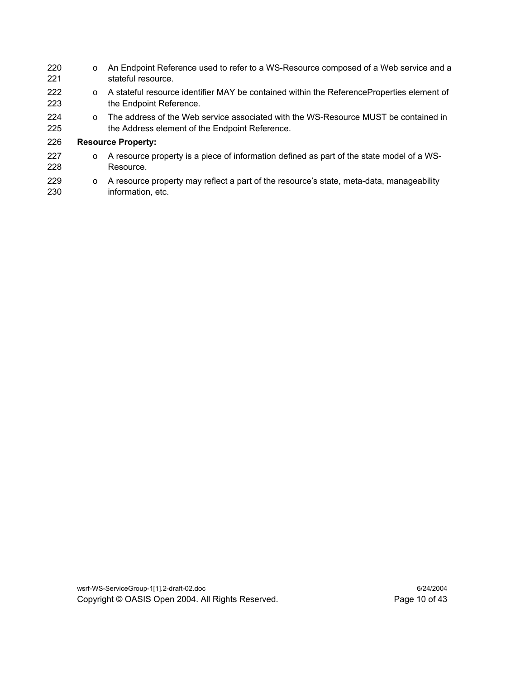- 220 221 222 223 o An Endpoint Reference used to refer to a WS-Resource composed of a Web service and a stateful resource. o A stateful resource identifier MAY be contained within the ReferenceProperties element of the Endpoint Reference.
- 224 225 o The address of the Web service associated with the WS-Resource MUST be contained in the Address element of the Endpoint Reference.

#### 226 **Resource Property:**

- 227 228 o A resource property is a piece of information defined as part of the state model of a WS-Resource.
- 229 230 o A resource property may reflect a part of the resource's state, meta-data, manageability information, etc.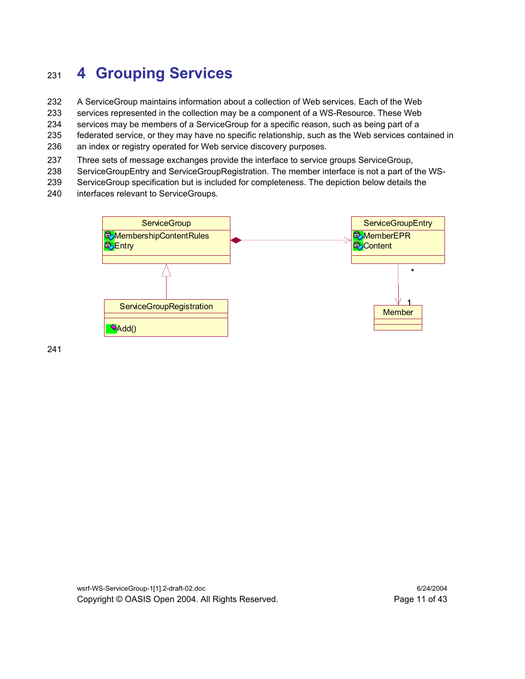# <span id="page-10-0"></span>231 **4 Grouping Services**

232 A ServiceGroup maintains information about a collection of Web services. Each of the Web

233 services represented in the collection may be a component of a WS-Resource. These Web

234 services may be members of a ServiceGroup for a specific reason, such as being part of a

235 federated service, or they may have no specific relationship, such as the Web services contained in

- 236 an index or registry operated for Web service discovery purposes.
- 237 Three sets of message exchanges provide the interface to service groups ServiceGroup,
- 238 ServiceGroupEntry and ServiceGroupRegistration. The member interface is not a part of the WS-
- 239 ServiceGroup specification but is included for completeness. The depiction below details the
- 240 interfaces relevant to ServiceGroups.



241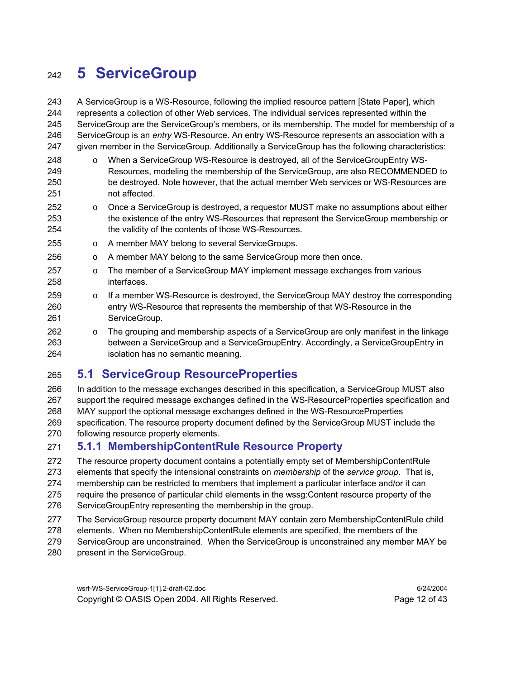# <span id="page-11-0"></span>242 **5 ServiceGroup**

243 244 245 246 247 A ServiceGroup is a WS-Resource, following the implied resource pattern [State Paper], which represents a collection of other Web services. The individual services represented within the ServiceGroup are the ServiceGroup's members, or its membership. The model for membership of a ServiceGroup is an *entry* WS-Resource. An entry WS-Resource represents an association with a given member in the ServiceGroup. Additionally a ServiceGroup has the following characteristics:

- 248 249 250 251 When a ServiceGroup WS-Resource is destroyed, all of the ServiceGroupEntry WS-Resources, modeling the membership of the ServiceGroup, are also RECOMMENDED to be destroyed. Note however, that the actual member Web services or WS-Resources are not affected.
- 252 253 254 o Once a ServiceGroup is destroyed, a requestor MUST make no assumptions about either the existence of the entry WS-Resources that represent the ServiceGroup membership or the validity of the contents of those WS-Resources.
- 255 o A member MAY belong to several ServiceGroups.
- 256 o A member MAY belong to the same ServiceGroup more then once.
- 257 258 o The member of a ServiceGroup MAY implement message exchanges from various interfaces.
- 259 260 261 o If a member WS-Resource is destroyed, the ServiceGroup MAY destroy the corresponding entry WS-Resource that represents the membership of that WS-Resource in the ServiceGroup.
- 262 263 264  $\circ$  The grouping and membership aspects of a ServiceGroup are only manifest in the linkage between a ServiceGroup and a ServiceGroupEntry. Accordingly, a ServiceGroupEntry in isolation has no semantic meaning.

#### 265 **5.1 ServiceGroup ResourceProperties**

266 267 268 269 270 In addition to the message exchanges described in this specification, a ServiceGroup MUST also support the required message exchanges defined in the WS-ResourceProperties specification and MAY support the optional message exchanges defined in the WS-ResourceProperties specification. The resource property document defined by the ServiceGroup MUST include the following resource property elements.

#### 271 **5.1.1 MembershipContentRule Resource Property**

- 272 The resource property document contains a potentially empty set of MembershipContentRule
- 273 elements that specify the intensional constraints on *membership* of the *service group*. That is,
- 274 membership can be restricted to members that implement a particular interface and/or it can
- 275 276 require the presence of particular child elements in the wssg:Content resource property of the ServiceGroupEntry representing the membership in the group.
- 277 The ServiceGroup resource property document MAY contain zero MembershipContentRule child
- 278 elements. When no MembershipContentRule elements are specified, the members of the
- 279 ServiceGroup are unconstrained. When the ServiceGroup is unconstrained any member MAY be
- 280 present in the ServiceGroup.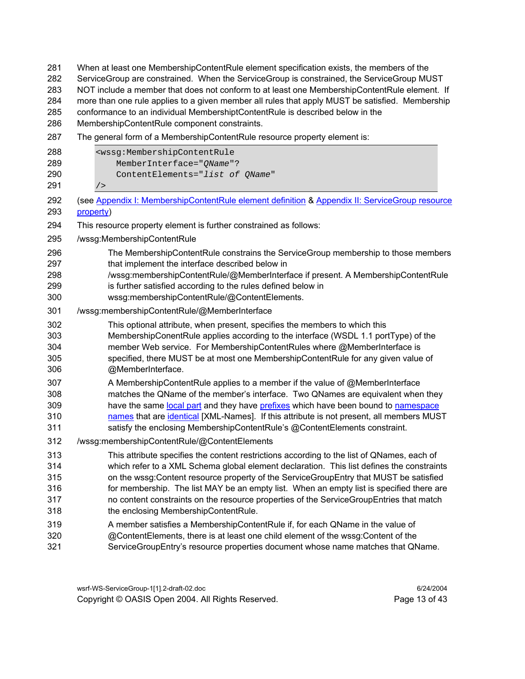281 When at least one MembershipContentRule element specification exists, the members of the

282 ServiceGroup are constrained. When the ServiceGroup is constrained, the ServiceGroup MUST

- 283 NOT include a member that does not conform to at least one MembershipContentRule element. If
- 284 more than one rule applies to a given member all rules that apply MUST be satisfied. Membership

285 conformance to an individual MembershiptContentRule is described below in the

286 MembershipContentRule component constraints.

287 The general form of a MembershipContentRule resource property element is:

| 288 | <wssq:membershipcontentrule< td=""></wssq:membershipcontentrule<> |
|-----|-------------------------------------------------------------------|
| 289 | MemberInterface="OName"?                                          |
| 290 | ContentElements="list of OName"                                   |
| 291 | $\prime$ >                                                        |

- (see [Appendix I: MembershipContentRule element definition](#page-31-0) & [Appendix II: ServiceGroup resource](#page-36-0)  292
- [property\)](#page-36-0) 293
- 294 This resource property element is further constrained as follows:
- 295 /wssg:MembershipContentRule
- 296 297 The MembershipContentRule constrains the ServiceGroup membership to those members that implement the interface described below in
- 298 /wssg:membershipContentRule/@MemberInterface if present. A MembershipContentRule
- 299 is further satisfied according to the rules defined below in
- 300 wssg:membershipContentRule/@ContentElements.
- 301 /wssg:membershipContentRule/@MemberInterface
- 302 This optional attribute, when present, specifies the members to which this
- 303 304 305 306 MembershipConentRule applies according to the interface (WSDL 1.1 portType) of the member Web service. For MembershipContentRules where @MemberInterface is specified, there MUST be at most one MembershipContentRule for any given value of @MemberInterface.
- 307 308 A MembershipContentRule applies to a member if the value of @MemberInterface matches the QName of the member's interface. Two QNames are equivalent when they have the same [local part](http://www.w3.org/TR/REC-xml-names/) and they have [prefixes](http://www.w3.org/TR/REC-xml-names/) which have been bound to namespace [names](http://www.w3.org/TR/REC-xml-names/) that are [identical](http://www.w3.org/TR/REC-xml-names/) [XML-Names]. If this attribute is not present, all members MUST satisfy the enclosing MembershipContentRule's @ContentElements constraint. 309 310 311
- 
- 312 /wssg:membershipContentRule/@ContentElements
- 313 314 315 316 317 This attribute specifies the content restrictions according to the list of QNames, each of which refer to a XML Schema global element declaration. This list defines the constraints on the wssg:Content resource property of the ServiceGroupEntry that MUST be satisfied for membership. The list MAY be an empty list. When an empty list is specified there are no content constraints on the resource properties of the ServiceGroupEntries that match
- 318 the enclosing MembershipContentRule.
- 319 A member satisfies a MembershipContentRule if, for each QName in the value of
- 320 @ContentElements, there is at least one child element of the wssg:Content of the
- 321 ServiceGroupEntry's resource properties document whose name matches that QName.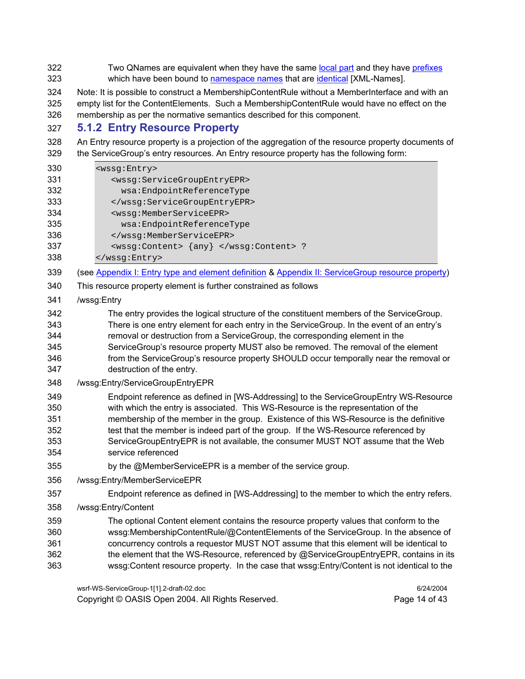<span id="page-13-0"></span>Two QNames are equivalent when they have the same [local part](http://www.w3.org/TR/REC-xml-names/) and they have [prefixes](http://www.w3.org/TR/REC-xml-names/) 323 both which have been bound to [namespace names](http://www.w3.org/TR/REC-xml-names/) that are [identical](http://www.w3.org/TR/REC-xml-names/) [XML-Names]. 322

324 325 326 Note: It is possible to construct a MembershipContentRule without a MemberInterface and with an empty list for the ContentElements. Such a MembershipContentRule would have no effect on the membership as per the normative semantics described for this component.

#### 327 **5.1.2 Entry Resource Property**

328 329 An Entry resource property is a projection of the aggregation of the resource property documents of the ServiceGroup's entry resources. An Entry resource property has the following form:

- 330 <wssg:Entry> 331 <wssg:ServiceGroupEntryEPR> 332 wsa:EndpointReferenceType 333 </wssg:ServiceGroupEntryEPR> 334 <wssg:MemberServiceEPR> 335 wsa:EndpointReferenceType 336 </wssg:MemberServiceEPR> 337 <wssg:Content> {any} </wssg:Content> ? 338 </wssg:Entry> 339 (see [Appendix I: Entry type and element definition](#page-31-0) & [Appendix II: ServiceGroup resource property\)](#page-36-0) 340 341 342 343 344 345 346 347 348 349 This resource property element is further constrained as follows /wssg:Entry The entry provides the logical structure of the constituent members of the ServiceGroup. There is one entry element for each entry in the ServiceGroup. In the event of an entry's removal or destruction from a ServiceGroup, the corresponding element in the ServiceGroup's resource property MUST also be removed. The removal of the element from the ServiceGroup's resource property SHOULD occur temporally near the removal or destruction of the entry. /wssg:Entry/ServiceGroupEntryEPR
- 350 351 Endpoint reference as defined in [WS-Addressing] to the ServiceGroupEntry WS-Resource with which the entry is associated. This WS-Resource is the representation of the membership of the member in the group. Existence of this WS-Resource is the definitive
- 352 353 354 test that the member is indeed part of the group. If the WS-Resource referenced by ServiceGroupEntryEPR is not available, the consumer MUST NOT assume that the Web service referenced
- 355 by the @MemberServiceEPR is a member of the service group.
- 356 /wssg:Entry/MemberServiceEPR
- 357 Endpoint reference as defined in [WS-Addressing] to the member to which the entry refers.
- 358 /wssg:Entry/Content
- 359 The optional Content element contains the resource property values that conform to the
- 360 wssg:MembershipContentRule/@ContentElements of the ServiceGroup. In the absence of
- 361 362 concurrency controls a requestor MUST NOT assume that this element will be identical to the element that the WS-Resource, referenced by @ServiceGroupEntryEPR, contains in its
- 363 wssg:Content resource property. In the case that wssg:Entry/Content is not identical to the

wsrf-WS-ServiceGroup-1[1].2-draft-02.doc 6/24/2004

Copyright © OASIS Open 2004. All Rights Reserved. Page 14 of 43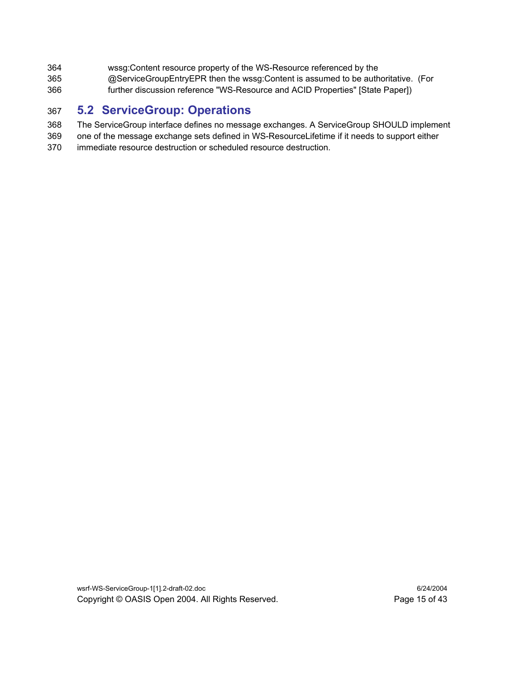- <span id="page-14-0"></span>364 wssg:Content resource property of the WS-Resource referenced by the
- 365 @ServiceGroupEntryEPR then the wssg:Content is assumed to be authoritative. (For
- 366 further discussion reference "WS-Resource and ACID Properties" [State Paper])

## 367 **5.2 ServiceGroup: Operations**

- 368 The ServiceGroup interface defines no message exchanges. A ServiceGroup SHOULD implement
- 369 one of the message exchange sets defined in WS-ResourceLifetime if it needs to support either
- 370 immediate resource destruction or scheduled resource destruction.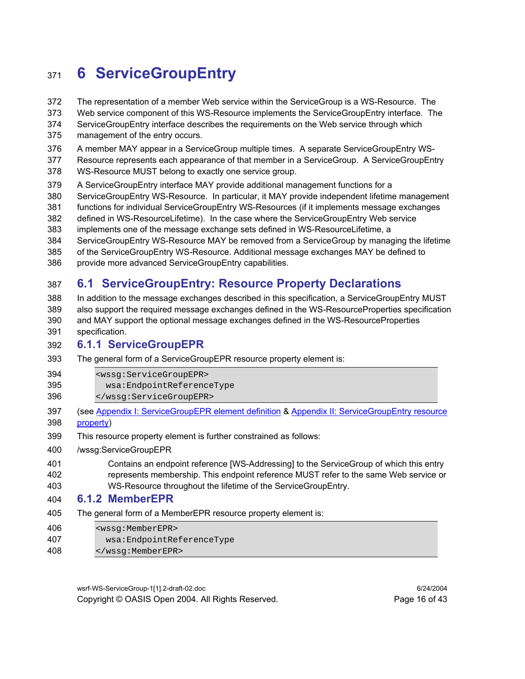# <span id="page-15-0"></span>371 **6 ServiceGroupEntry**

- 372 The representation of a member Web service within the ServiceGroup is a WS-Resource. The
- 373 Web service component of this WS-Resource implements the ServiceGroupEntry interface. The
- 374 375 ServiceGroupEntry interface describes the requirements on the Web service through which management of the entry occurs.
- 376 A member MAY appear in a ServiceGroup multiple times. A separate ServiceGroupEntry WS-
- 377 378 Resource represents each appearance of that member in a ServiceGroup. A ServiceGroupEntry WS-Resource MUST belong to exactly one service group.
- 379 A ServiceGroupEntry interface MAY provide additional management functions for a
- 380 ServiceGroupEntry WS-Resource. In particular, it MAY provide independent lifetime management
- 381 functions for individual ServiceGroupEntry WS-Resources (if it implements message exchanges
- 382 defined in WS-ResourceLifetime). In the case where the ServiceGroupEntry Web service
- 383 implements one of the message exchange sets defined in WS-ResourceLifetime, a
- 384 ServiceGroupEntry WS-Resource MAY be removed from a ServiceGroup by managing the lifetime
- 385 of the ServiceGroupEntry WS-Resource. Additional message exchanges MAY be defined to
- 386 provide more advanced ServiceGroupEntry capabilities.

## 387 **6.1 ServiceGroupEntry: Resource Property Declarations**

388 389 390 391 In addition to the message exchanges described in this specification, a ServiceGroupEntry MUST also support the required message exchanges defined in the WS-ResourceProperties specification and MAY support the optional message exchanges defined in the WS-ResourceProperties specification.

#### 392 **6.1.1 ServiceGroupEPR**

- 393 The general form of a ServiceGroupEPR resource property element is:
- 

394 <wssg:ServiceGroupEPR>

- 395 wsa:EndpointReferenceType
- 396 </wssg:ServiceGroupEPR>
- (see [Appendix I: ServiceGroupEPR element definition](#page-31-0) & [Appendix II: ServiceGroupEntry resource](#page-36-0)  [property\)](#page-36-0) 397 398
- 399 This resource property element is further constrained as follows:
- 400 /wssg:ServiceGroupEPR
- 401 402 403 Contains an endpoint reference [WS-Addressing] to the ServiceGroup of which this entry represents membership. This endpoint reference MUST refer to the same Web service or WS-Resource throughout the lifetime of the ServiceGroupEntry.

#### 404 **6.1.2 MemberEPR**

405 The general form of a MemberEPR resource property element is:

406 <wssg:MemberEPR>

- 407 wsa:EndpointReferenceType
- 408 </wssg:MemberEPR>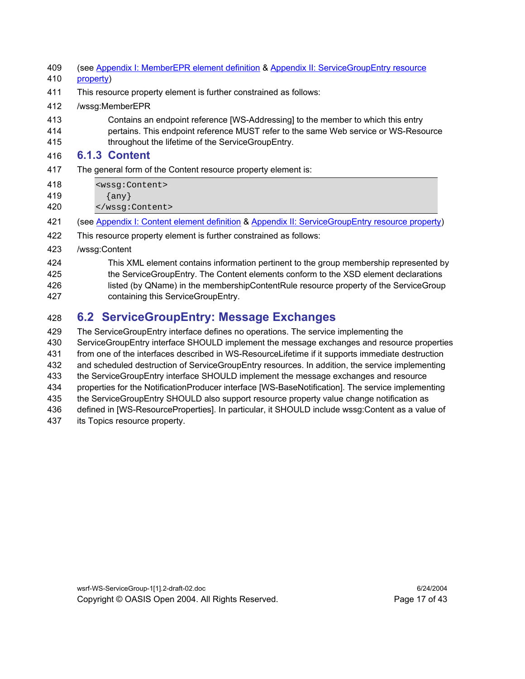<span id="page-16-0"></span>

| 409<br>410               | (see Appendix I: MemberEPR element definition & Appendix II: ServiceGroupEntry resource<br>property)                                                                                                                                                                                                        |
|--------------------------|-------------------------------------------------------------------------------------------------------------------------------------------------------------------------------------------------------------------------------------------------------------------------------------------------------------|
| 411                      | This resource property element is further constrained as follows:                                                                                                                                                                                                                                           |
| 412                      | /wssg:MemberEPR                                                                                                                                                                                                                                                                                             |
| 413<br>414<br>415        | Contains an endpoint reference [WS-Addressing] to the member to which this entry<br>pertains. This endpoint reference MUST refer to the same Web service or WS-Resource<br>throughout the lifetime of the ServiceGroupEntry.                                                                                |
| 416                      | 6.1.3 Content                                                                                                                                                                                                                                                                                               |
| 417                      | The general form of the Content resource property element is:                                                                                                                                                                                                                                               |
| 418<br>419<br>420        | <wssg:content><br/><math>\{any\}</math><br/></wssg:content>                                                                                                                                                                                                                                                 |
| 421                      | (see Appendix I: Content element definition & Appendix II: ServiceGroupEntry resource property)                                                                                                                                                                                                             |
| 422                      | This resource property element is further constrained as follows:                                                                                                                                                                                                                                           |
| 423                      | /wssg:Content                                                                                                                                                                                                                                                                                               |
| 424<br>425<br>426<br>427 | This XML element contains information pertinent to the group membership represented by<br>the ServiceGroupEntry. The Content elements conform to the XSD element declarations<br>listed (by QName) in the membershipContentRule resource property of the ServiceGroup<br>containing this ServiceGroupEntry. |
| 428                      | <b>6.2 ServiceGroupEntry: Message Exchanges</b>                                                                                                                                                                                                                                                             |
| 429                      | The ServiceGroupEntry interface defines no operations. The service implementing the                                                                                                                                                                                                                         |
| 430                      | ServiceGroupEntry interface SHOULD implement the message exchanges and resource properties                                                                                                                                                                                                                  |
| 431                      | from one of the interfaces described in WS-ResourceLifetime if it supports immediate destruction                                                                                                                                                                                                            |

- 432 and scheduled destruction of ServiceGroupEntry resources. In addition, the service implementing
- 433 the ServiceGroupEntry interface SHOULD implement the message exchanges and resource
- 434 435 properties for the NotificationProducer interface [WS-BaseNotification]. The service implementing
- 436 the ServiceGroupEntry SHOULD also support resource property value change notification as defined in [WS-ResourceProperties]. In particular, it SHOULD include wssg:Content as a value of
- 437 its Topics resource property.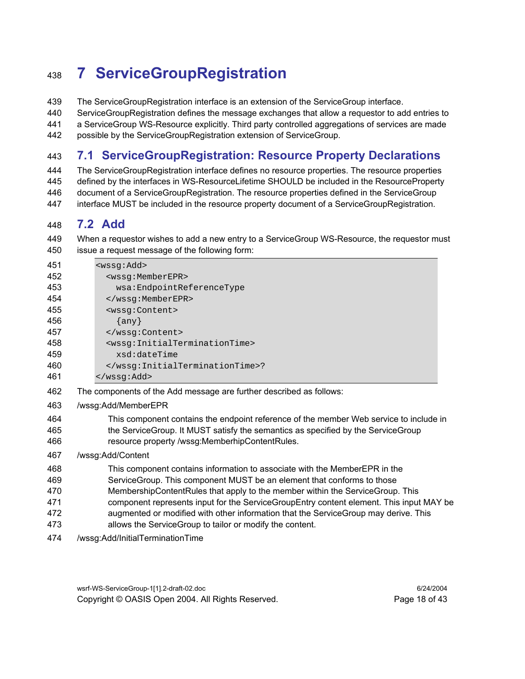# <span id="page-17-0"></span>438 **7 ServiceGroupRegistration**

439 The ServiceGroupRegistration interface is an extension of the ServiceGroup interface.

440 ServiceGroupRegistration defines the message exchanges that allow a requestor to add entries to

441 a ServiceGroup WS-Resource explicitly. Third party controlled aggregations of services are made

442 possible by the ServiceGroupRegistration extension of ServiceGroup.

# 443 **7.1 ServiceGroupRegistration: Resource Property Declarations**

444 445 446 447 The ServiceGroupRegistration interface defines no resource properties. The resource properties defined by the interfaces in WS-ResourceLifetime SHOULD be included in the ResourceProperty document of a ServiceGroupRegistration. The resource properties defined in the ServiceGroup interface MUST be included in the resource property document of a ServiceGroupRegistration.

# 448 **7.2 Add**

449 450 When a requestor wishes to add a new entry to a ServiceGroup WS-Resource, the requestor must issue a request message of the following form:

| 451 | <wssq:add></wssq:add>                                               |
|-----|---------------------------------------------------------------------|
| 452 | <wssq:memberepr></wssq:memberepr>                                   |
| 453 | wsa:EndpointReferenceType                                           |
| 454 |                                                                     |
| 455 | <wssq:content></wssq:content>                                       |
| 456 | $\{$ any $\}$                                                       |
| 457 |                                                                     |
| 458 | <wssq:initialterminationtime></wssq:initialterminationtime>         |
| 459 | xsd:dateTime                                                        |
| 460 | ?                                                                   |
| 461 | $\langle$ /wssq:Add>                                                |
| 462 | The components of the Add message are further described as follows: |
| 463 | /wssg:Add/MemberEPR                                                 |
|     |                                                                     |

464 465 466 This component contains the endpoint reference of the member Web service to include in the ServiceGroup. It MUST satisfy the semantics as specified by the ServiceGroup resource property /wssg:MemberhipContentRules.

#### 467 /wssg:Add/Content

- 468 This component contains information to associate with the MemberEPR in the
- 469 ServiceGroup. This component MUST be an element that conforms to those
- 470 MembershipContentRules that apply to the member within the ServiceGroup. This
- 471 component represents input for the ServiceGroupEntry content element. This input MAY be
- 472 augmented or modified with other information that the ServiceGroup may derive. This
- 473 allows the ServiceGroup to tailor or modify the content.
- 474 /wssg:Add/InitialTerminationTime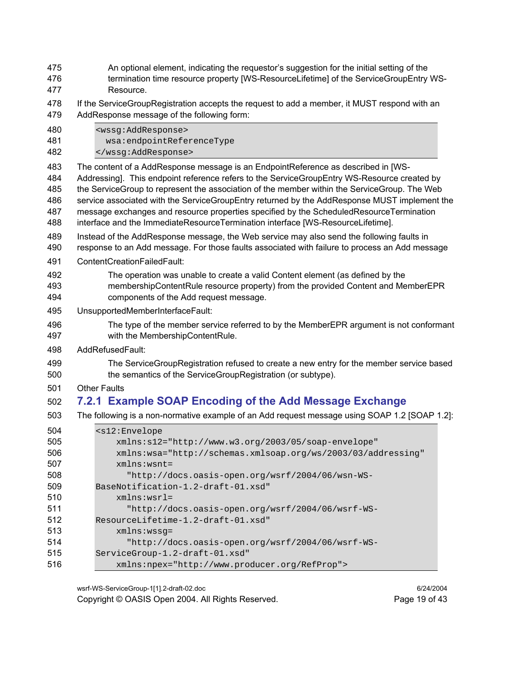<span id="page-18-0"></span>

| 475<br>476<br>477 | An optional element, indicating the requestor's suggestion for the initial setting of the<br>termination time resource property [WS-ResourceLifetime] of the ServiceGroupEntry WS-<br>Resource. |
|-------------------|-------------------------------------------------------------------------------------------------------------------------------------------------------------------------------------------------|
| 478<br>479        | If the ServiceGroupRegistration accepts the request to add a member, it MUST respond with an<br>AddResponse message of the following form:                                                      |
| 480               | <wssg:addresponse></wssg:addresponse>                                                                                                                                                           |
| 481               | wsa:endpointReferenceType                                                                                                                                                                       |
| 482               |                                                                                                                                                                                                 |
| 483               | The content of a AddResponse message is an EndpointReference as described in [WS-                                                                                                               |
| 484               | Addressing]. This endpoint reference refers to the ServiceGroupEntry WS-Resource created by                                                                                                     |
| 485               | the ServiceGroup to represent the association of the member within the ServiceGroup. The Web                                                                                                    |
| 486               | service associated with the ServiceGroupEntry returned by the AddResponse MUST implement the                                                                                                    |
| 487               | message exchanges and resource properties specified by the ScheduledResourceTermination                                                                                                         |
| 488               | interface and the ImmediateResourceTermination interface [WS-ResourceLifetime].                                                                                                                 |
| 489               | Instead of the AddResponse message, the Web service may also send the following faults in                                                                                                       |
| 490               | response to an Add message. For those faults associated with failure to process an Add message                                                                                                  |
| 491               | ContentCreationFailedFault:                                                                                                                                                                     |
| 492               | The operation was unable to create a valid Content element (as defined by the                                                                                                                   |
| 493               | membershipContentRule resource property) from the provided Content and MemberEPR                                                                                                                |
| 494               | components of the Add request message.                                                                                                                                                          |
| 495               | UnsupportedMemberInterfaceFault:                                                                                                                                                                |
| 496               | The type of the member service referred to by the MemberEPR argument is not conformant                                                                                                          |
| 497               | with the MembershipContentRule.                                                                                                                                                                 |
| 498               | AddRefusedFault:                                                                                                                                                                                |
| 499               | The ServiceGroupRegistration refused to create a new entry for the member service based                                                                                                         |
| 500               | the semantics of the ServiceGroupRegistration (or subtype).                                                                                                                                     |
| 501               | <b>Other Faults</b>                                                                                                                                                                             |
| 502               | 7.2.1 Example SOAP Encoding of the Add Message Exchange                                                                                                                                         |
| 503               | The following is a non-normative example of an Add request message using SOAP 1.2 [SOAP 1.2]:                                                                                                   |
| 504               | <s12:envelope< td=""></s12:envelope<>                                                                                                                                                           |
| 505               | xmlns:s12="http://www.w3.org/2003/05/soap-envelope"                                                                                                                                             |
| 506               | xmlns:wsa="http://schemas.xmlsoap.org/ws/2003/03/addressing"                                                                                                                                    |
| 507               | $xmlns:wsnt =$                                                                                                                                                                                  |
| 508               | "http://docs.oasis-open.org/wsrf/2004/06/wsn-WS-                                                                                                                                                |
| 509               | BaseNotification-1.2-draft-01.xsd"                                                                                                                                                              |
| 510               | $xmlns:wsrl=$                                                                                                                                                                                   |
| 511               | "http://docs.oasis-open.org/wsrf/2004/06/wsrf-WS-                                                                                                                                               |
| 512               | ResourceLifetime-1.2-draft-01.xsd"                                                                                                                                                              |
| 513               | $xmlns:wssg=$                                                                                                                                                                                   |
| 514               | "http://docs.oasis-open.org/wsrf/2004/06/wsrf-WS-                                                                                                                                               |
| 515               | ServiceGroup-1.2-draft-01.xsd"                                                                                                                                                                  |
| 516               | xmlns: npex="http://www.producer.org/RefProp">                                                                                                                                                  |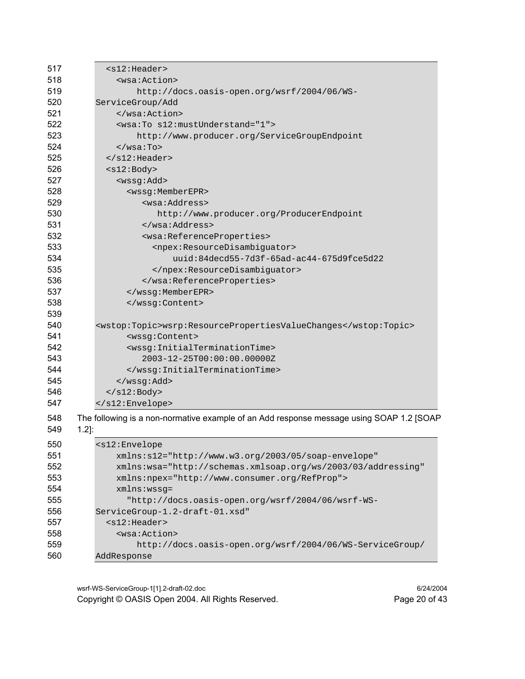| 517            | $<$ s $12$ :Header>                                                                      |
|----------------|------------------------------------------------------------------------------------------|
| 518            | <wsa:action></wsa:action>                                                                |
| 519            | http://docs.oasis-open.org/wsrf/2004/06/WS-                                              |
| 520            | ServiceGroup/Add                                                                         |
| 521            |                                                                                          |
| 522            | <wsa:to s12:mustunderstand="1"></wsa:to>                                                 |
| 523            | http://www.producer.org/ServiceGroupEndpoint                                             |
| 524            | $\langle$ /wsa:To>                                                                       |
| 525            | $\langle$ /s12:Header>                                                                   |
| 526            | $<$ s $12$ : Body>                                                                       |
| 527            | <wssg:add></wssg:add>                                                                    |
| 528            | <wssg:memberepr></wssg:memberepr>                                                        |
| 529            | <wsa:address></wsa:address>                                                              |
| 530            | http://www.producer.org/ProducerEndpoint                                                 |
| 531            |                                                                                          |
| 532            | <wsa:referenceproperties></wsa:referenceproperties>                                      |
| 533            | <npex:resourcedisambiguator></npex:resourcedisambiguator>                                |
| 534            | $uuid:84decd55-7d3f-65ad-ac44-675d9fce5d22$                                              |
| 535            |                                                                                          |
| 536            |                                                                                          |
| 537            |                                                                                          |
| 538            |                                                                                          |
| 539            |                                                                                          |
| 540            | <wstop:topic>wsrp:ResourcePropertiesValueChanges</wstop:topic>                           |
| 541            | <wssg:content></wssg:content>                                                            |
| 542            | <wssg:initialterminationtime></wssg:initialterminationtime>                              |
| 543            | 2003-12-25T00:00:00.00000Z                                                               |
| 544            |                                                                                          |
| 545            |                                                                                          |
| 546            | $\langle$ /s $12:$ Body>                                                                 |
| 547            |                                                                                          |
| 548            | The following is a non-normative example of an Add response message using SOAP 1.2 [SOAP |
| 549<br>$1.2$ : |                                                                                          |
| 550            |                                                                                          |
| 551            | <s12:envelope<br>xmlns:s12="http://www.w3.org/2003/05/soap-envelope"</s12:envelope<br>   |
| 552            | xmlns:wsa="http://schemas.xmlsoap.org/ws/2003/03/addressing"                             |
| 553            | xmlns: npex="http://www.consumer.org/RefProp">                                           |
| 554            | $xmlns:wssg=$                                                                            |
| 555            | "http://docs.oasis-open.org/wsrf/2004/06/wsrf-WS-                                        |
| 556            | ServiceGroup-1.2-draft-01.xsd"                                                           |
| 557            | $<$ s $12$ : Header>                                                                     |
| 558            | <wsa:action></wsa:action>                                                                |
| 559            | http://docs.oasis-open.org/wsrf/2004/06/WS-ServiceGroup/                                 |
| 560            | AddResponse                                                                              |
|                |                                                                                          |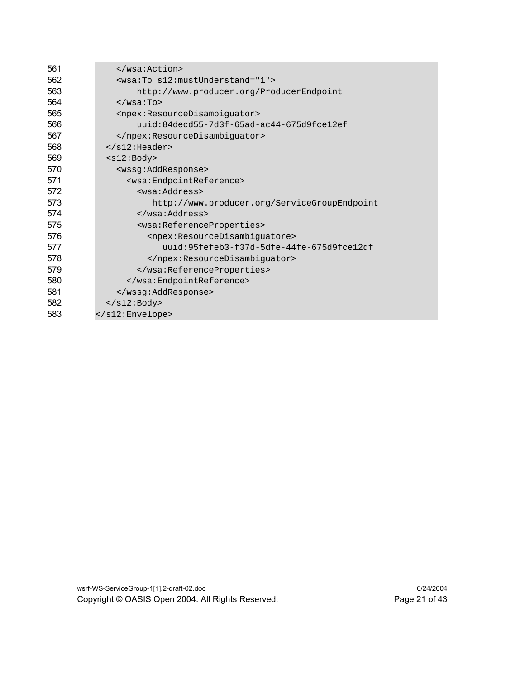| 561 |                                                             |
|-----|-------------------------------------------------------------|
| 562 | <wsa:to s12:mustunderstand="1"></wsa:to>                    |
| 563 | http://www.producer.org/ProducerEndpoint                    |
| 564 | $\langle$ /wsa:To>                                          |
| 565 | <npex:resourcedisambiguator></npex:resourcedisambiguator>   |
| 566 | uuid:84decd55-7d3f-65ad-ac44-675d9fce12ef                   |
| 567 |                                                             |
| 568 | $\langle$ /s12:Header>                                      |
| 569 | $<$ s $12$ : Body>                                          |
| 570 | <wssq:addresponse></wssq:addresponse>                       |
| 571 | <wsa:endpointreference></wsa:endpointreference>             |
| 572 | <wsa:address></wsa:address>                                 |
| 573 | http://www.producer.org/ServiceGroupEndpoint                |
| 574 |                                                             |
| 575 | <wsa:referenceproperties></wsa:referenceproperties>         |
| 576 | <npex:resourcedisambiguatore></npex:resourcedisambiguatore> |
| 577 | uuid:95fefeb3-f37d-5dfe-44fe-675d9fce12df                   |
| 578 |                                                             |
| 579 |                                                             |
| 580 |                                                             |
| 581 |                                                             |
| 582 | $\langle$ s12: Body>                                        |
| 583 |                                                             |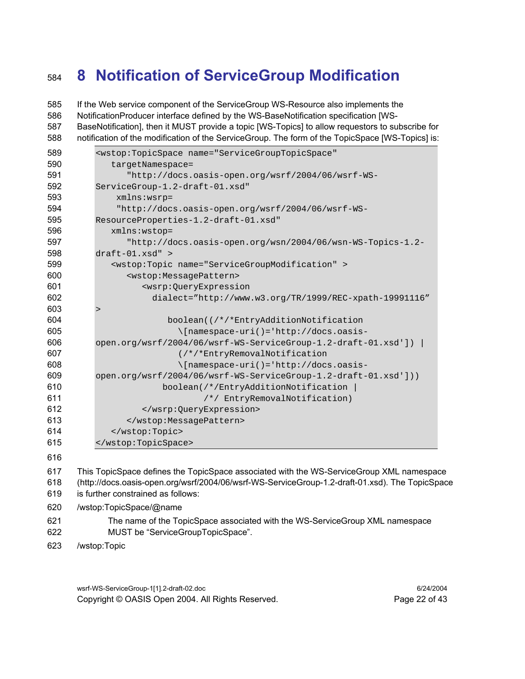# <span id="page-21-0"></span> **8 Notification of ServiceGroup Modification**

 If the Web service component of the ServiceGroup WS-Resource also implements the NotificationProducer interface defined by the WS-BaseNotification specification [WS-BaseNotification], then it MUST provide a topic [WS-Topics] to allow requestors to subscribe for notification of the modification of the ServiceGroup. The form of the TopicSpace [WS-Topics] is:

| 589 | <wstop:topicspace <="" name="ServiceGroupTopicSpace" th=""></wstop:topicspace> |
|-----|--------------------------------------------------------------------------------|
| 590 | targetNamespace=                                                               |
| 591 | "http://docs.oasis-open.org/wsrf/2004/06/wsrf-WS-                              |
| 592 | ServiceGroup-1.2-draft-01.xsd"                                                 |
| 593 | $xmlns:wsrp =$                                                                 |
| 594 | "http://docs.oasis-open.org/wsrf/2004/06/wsrf-WS-                              |
| 595 | ResourceProperties-1.2-draft-01.xsd"                                           |
| 596 | xmlns:wstop=                                                                   |
| 597 | "http://docs.oasis-open.org/wsn/2004/06/wsn-WS-Topics-1.2-                     |
| 598 | $draff-01.xsd"$                                                                |
| 599 | <wstop:topic name="ServiceGroupModification"></wstop:topic>                    |
| 600 | <wstop:messagepattern></wstop:messagepattern>                                  |
| 601 | <wsrp:queryexpression< th=""></wsrp:queryexpression<>                          |
| 602 | dialect="http://www.w3.org/TR/1999/REC-xpath-19991116"                         |
| 603 | $\geq$                                                                         |
| 604 | boolean((/*/*EntryAdditionNotification                                         |
| 605 | \[namespace-uri()='http://docs.oasis-                                          |
| 606 | open.org/wsrf/2004/06/wsrf-WS-ServiceGroup-1.2-draft-01.xsd'])                 |
| 607 | (/*/*EntryRemovalNotification                                                  |
| 608 | \[namespace-uri()='http://docs.oasis-                                          |
| 609 | open.org/wsrf/2004/06/wsrf-WS-ServiceGroup-1.2-draft-01.xsd']))                |
| 610 | boolean(/*/EntryAdditionNotification                                           |
| 611 | /*/ EntryRemovalNotification)                                                  |
| 612 |                                                                                |
| 613 |                                                                                |
| 614 |                                                                                |
| 615 |                                                                                |

 This TopicSpace defines the TopicSpace associated with the WS-ServiceGroup XML namespace (http://docs.oasis-open.org/wsrf/2004/06/wsrf-WS-ServiceGroup-1.2-draft-01.xsd). The TopicSpace is further constrained as follows:

- /wstop:TopicSpace/@name
- The name of the TopicSpace associated with the WS-ServiceGroup XML namespace MUST be "ServiceGroupTopicSpace".
- /wstop:Topic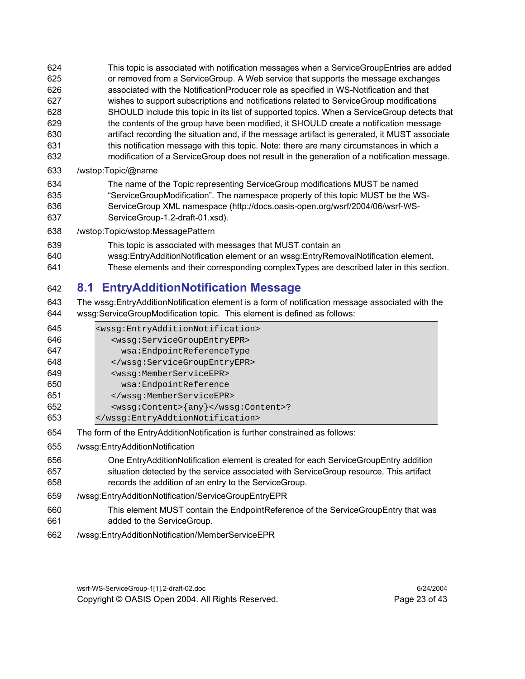- <span id="page-22-0"></span>624 625 626 627 628 629 630 This topic is associated with notification messages when a ServiceGroupEntries are added or removed from a ServiceGroup. A Web service that supports the message exchanges associated with the NotificationProducer role as specified in WS-Notification and that wishes to support subscriptions and notifications related to ServiceGroup modifications SHOULD include this topic in its list of supported topics. When a ServiceGroup detects that the contents of the group have been modified, it SHOULD create a notification message artifact recording the situation and, if the message artifact is generated, it MUST associate
- 631 this notification message with this topic. Note: there are many circumstances in which a
- 632 modification of a ServiceGroup does not result in the generation of a notification message.

#### 633 /wstop:Topic/@name

- 634 635 636 The name of the Topic representing ServiceGroup modifications MUST be named "ServiceGroupModification". The namespace property of this topic MUST be the WS-ServiceGroup XML namespace (http://docs.oasis-open.org/wsrf/2004/06/wsrf-WS-
- 637 ServiceGroup-1.2-draft-01.xsd).
- 638 /wstop:Topic/wstop:MessagePattern
- 639 This topic is associated with messages that MUST contain an
- 640 wssg:EntryAdditionNotification element or an wssg:EntryRemovalNotification element.
- 641 These elements and their corresponding complexTypes are described later in this section.

# 642 **8.1 EntryAdditionNotification Message**

643 644 The wssg:EntryAdditionNotification element is a form of notification message associated with the wssg:ServiceGroupModification topic. This element is defined as follows:

- 645 <wssg:EntryAdditionNotification> 646 <wssg:ServiceGroupEntryEPR> 647 wsa:EndpointReferenceType 648 </wssg:ServiceGroupEntryEPR> 649 <wssg:MemberServiceEPR> 650 wsa:EndpointReference 651 </wssg:MemberServiceEPR> 652 <wssg:Content>{any}</wssg:Content>? 653 </wssg:EntryAddtionNotification>
- 654 The form of the EntryAdditionNotification is further constrained as follows:
- 655 /wssg:EntryAdditionNotification
- 656 657 658 One EntryAdditionNotification element is created for each ServiceGroupEntry addition situation detected by the service associated with ServiceGroup resource. This artifact records the addition of an entry to the ServiceGroup.
- 659 /wssg:EntryAdditionNotification/ServiceGroupEntryEPR
- 660 661 This element MUST contain the EndpointReference of the ServiceGroupEntry that was added to the ServiceGroup.
- 662 /wssg:EntryAdditionNotification/MemberServiceEPR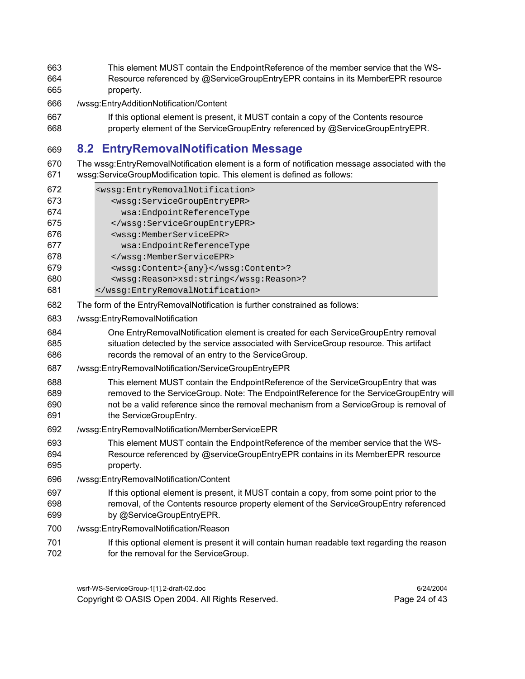- <span id="page-23-0"></span>663 664 665 This element MUST contain the EndpointReference of the member service that the WS-Resource referenced by @ServiceGroupEntryEPR contains in its MemberEPR resource property.
- 666 /wssg:EntryAdditionNotification/Content
- 667 668 If this optional element is present, it MUST contain a copy of the Contents resource property element of the ServiceGroupEntry referenced by @ServiceGroupEntryEPR.

## 669 **8.2 EntryRemovalNotification Message**

670 671 The wssg:EntryRemovalNotification element is a form of notification message associated with the wssg:ServiceGroupModification topic. This element is defined as follows:

- 672 <wssg:EntryRemovalNotification> 673 <wssg:ServiceGroupEntryEPR> 674 wsa:EndpointReferenceType 675 </wssg:ServiceGroupEntryEPR> 676 <wssg:MemberServiceEPR> 677 wsa:EndpointReferenceType 678 </wssg:MemberServiceEPR> 679 <wssg:Content>{any}</wssg:Content>? 680 <wssg:Reason>xsd:string</wssg:Reason>? 681 </wssg:EntryRemovalNotification> 682 683 684 685 686 687 688 689 690 691 692 693 694 695 696 697 698 699 700 The form of the EntryRemovalNotification is further constrained as follows: /wssg:EntryRemovalNotification One EntryRemovalNotification element is created for each ServiceGroupEntry removal situation detected by the service associated with ServiceGroup resource. This artifact records the removal of an entry to the ServiceGroup. /wssg:EntryRemovalNotification/ServiceGroupEntryEPR This element MUST contain the EndpointReference of the ServiceGroupEntry that was removed to the ServiceGroup. Note: The EndpointReference for the ServiceGroupEntry will not be a valid reference since the removal mechanism from a ServiceGroup is removal of the ServiceGroupEntry. /wssg:EntryRemovalNotification/MemberServiceEPR This element MUST contain the EndpointReference of the member service that the WS-Resource referenced by @serviceGroupEntryEPR contains in its MemberEPR resource property. /wssg:EntryRemovalNotification/Content If this optional element is present, it MUST contain a copy, from some point prior to the removal, of the Contents resource property element of the ServiceGroupEntry referenced by @ServiceGroupEntryEPR. /wssg:EntryRemovalNotification/Reason
- 701 702 If this optional element is present it will contain human readable text regarding the reason for the removal for the ServiceGroup.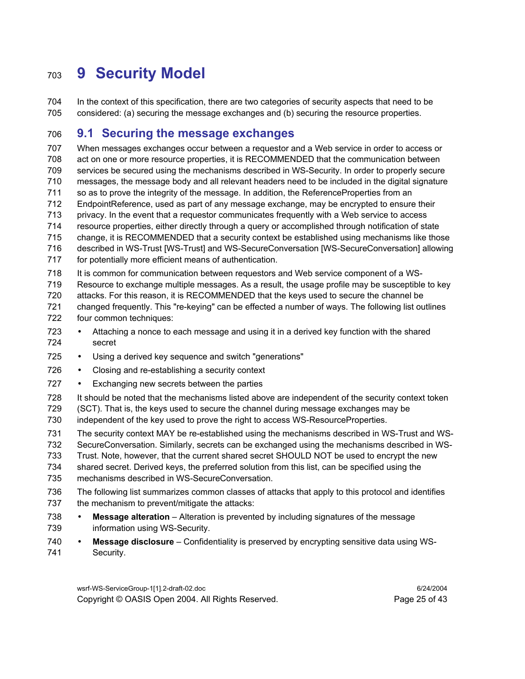# <span id="page-24-0"></span>703 **9 Security Model**

704 705 In the context of this specification, there are two categories of security aspects that need to be considered: (a) securing the message exchanges and (b) securing the resource properties.

## 706 **9.1 Securing the message exchanges**

707 708 709 710 711 712 713 714 715 716 717 When messages exchanges occur between a requestor and a Web service in order to access or act on one or more resource properties, it is RECOMMENDED that the communication between services be secured using the mechanisms described in WS-Security. In order to properly secure messages, the message body and all relevant headers need to be included in the digital signature so as to prove the integrity of the message. In addition, the ReferenceProperties from an EndpointReference, used as part of any message exchange, may be encrypted to ensure their privacy. In the event that a requestor communicates frequently with a Web service to access resource properties, either directly through a query or accomplished through notification of state change, it is RECOMMENDED that a security context be established using mechanisms like those described in WS-Trust [WS-Trust] and WS-SecureConversation [WS-SecureConversation] allowing for potentially more efficient means of authentication.

718 It is common for communication between requestors and Web service component of a WS-

719 720 721 722 Resource to exchange multiple messages. As a result, the usage profile may be susceptible to key attacks. For this reason, it is RECOMMENDED that the keys used to secure the channel be changed frequently. This "re-keying" can be effected a number of ways. The following list outlines four common techniques:

- 723 724 • Attaching a nonce to each message and using it in a derived key function with the shared secret
- 725 • Using a derived key sequence and switch "generations"
- 726 • Closing and re-establishing a security context
- 727 • Exchanging new secrets between the parties
- 728 729 730 It should be noted that the mechanisms listed above are independent of the security context token (SCT). That is, the keys used to secure the channel during message exchanges may be independent of the key used to prove the right to access WS-ResourceProperties.
- 731 732 733 734 735 The security context MAY be re-established using the mechanisms described in WS-Trust and WS-SecureConversation. Similarly, secrets can be exchanged using the mechanisms described in WS-Trust. Note, however, that the current shared secret SHOULD NOT be used to encrypt the new shared secret. Derived keys, the preferred solution from this list, can be specified using the mechanisms described in WS-SecureConversation.
- 736 737 The following list summarizes common classes of attacks that apply to this protocol and identifies the mechanism to prevent/mitigate the attacks:
- 738 739 • **Message alteration** – Alteration is prevented by including signatures of the message information using WS-Security.
- 740 741 • **Message disclosure** – Confidentiality is preserved by encrypting sensitive data using WS-Security.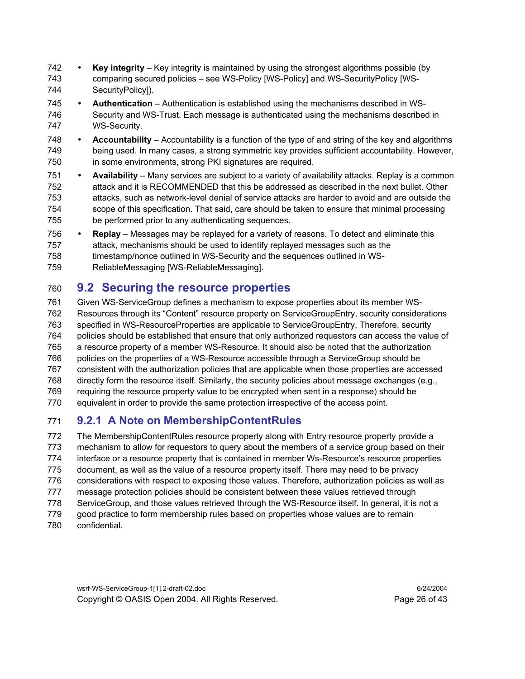- <span id="page-25-0"></span>742 743 744 • **Key integrity** – Key integrity is maintained by using the strongest algorithms possible (by comparing secured policies – see WS-Policy [WS-Policy] and WS-SecurityPolicy [WS-SecurityPolicy]).
- 745 746 747 • **Authentication** – Authentication is established using the mechanisms described in WS-Security and WS-Trust. Each message is authenticated using the mechanisms described in WS-Security.
- 748 749 750 • **Accountability** – Accountability is a function of the type of and string of the key and algorithms being used. In many cases, a strong symmetric key provides sufficient accountability. However, in some environments, strong PKI signatures are required.
- 751 752 753 754 755 • **Availability** – Many services are subject to a variety of availability attacks. Replay is a common attack and it is RECOMMENDED that this be addressed as described in the next bullet. Other attacks, such as network-level denial of service attacks are harder to avoid and are outside the scope of this specification. That said, care should be taken to ensure that minimal processing be performed prior to any authenticating sequences.
- 756 757 758 • **Replay** – Messages may be replayed for a variety of reasons. To detect and eliminate this attack, mechanisms should be used to identify replayed messages such as the timestamp/nonce outlined in WS-Security and the sequences outlined in WS-
- 759 ReliableMessaging [WS-ReliableMessaging].

## 760 **9.2 Securing the resource properties**

761 762 763 764 765 766 767 768 769 770 Given WS-ServiceGroup defines a mechanism to expose properties about its member WS-Resources through its "Content" resource property on ServiceGroupEntry, security considerations specified in WS-ResourceProperties are applicable to ServiceGroupEntry. Therefore, security policies should be established that ensure that only authorized requestors can access the value of a resource property of a member WS-Resource. It should also be noted that the authorization policies on the properties of a WS-Resource accessible through a ServiceGroup should be consistent with the authorization policies that are applicable when those properties are accessed directly form the resource itself. Similarly, the security policies about message exchanges (e.g., requiring the resource property value to be encrypted when sent in a response) should be equivalent in order to provide the same protection irrespective of the access point.

#### 771 **9.2.1 A Note on MembershipContentRules**

772 773 774 775 776 777 778 779 780 The MembershipContentRules resource property along with Entry resource property provide a mechanism to allow for requestors to query about the members of a service group based on their interface or a resource property that is contained in member Ws-Resource's resource properties document, as well as the value of a resource property itself. There may need to be privacy considerations with respect to exposing those values. Therefore, authorization policies as well as message protection policies should be consistent between these values retrieved through ServiceGroup, and those values retrieved through the WS-Resource itself. In general, it is not a good practice to form membership rules based on properties whose values are to remain confidential.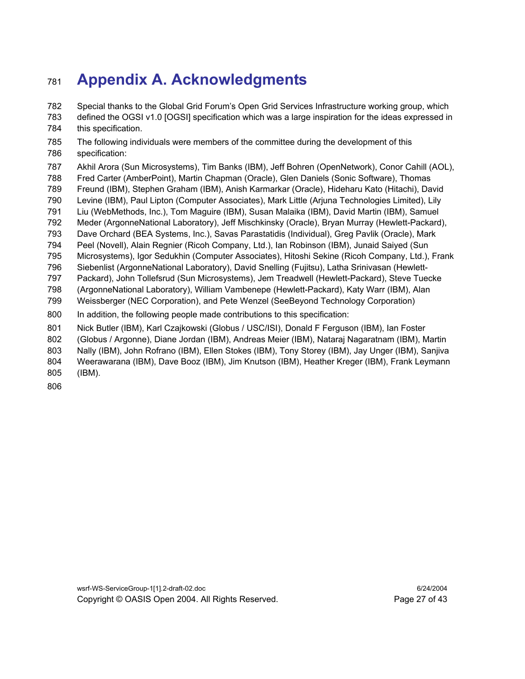# 781 **Appendix A. Acknowledgments**

782 783 784 Special thanks to the Global Grid Forum's Open Grid Services Infrastructure working group, which defined the OGSI v1.0 [OGSI] specification which was a large inspiration for the ideas expressed in this specification.

785 786 The following individuals were members of the committee during the development of this specification:

- 787 Akhil Arora (Sun Microsystems), Tim Banks (IBM), Jeff Bohren (OpenNetwork), Conor Cahill (AOL),
- 788 Fred Carter (AmberPoint), Martin Chapman (Oracle), Glen Daniels (Sonic Software), Thomas
- 789 Freund (IBM), Stephen Graham (IBM), Anish Karmarkar (Oracle), Hideharu Kato (Hitachi), David
- 790 Levine (IBM), Paul Lipton (Computer Associates), Mark Little (Arjuna Technologies Limited), Lily
- 791 Liu (WebMethods, Inc.), Tom Maguire (IBM), Susan Malaika (IBM), David Martin (IBM), Samuel
- 792 Meder (ArgonneNational Laboratory), Jeff Mischkinsky (Oracle), Bryan Murray (Hewlett-Packard),
- 793 Dave Orchard (BEA Systems, Inc.), Savas Parastatidis (Individual), Greg Pavlik (Oracle), Mark
- 794 795 Peel (Novell), Alain Regnier (Ricoh Company, Ltd.), Ian Robinson (IBM), Junaid Saiyed (Sun
- 796 Microsystems), Igor Sedukhin (Computer Associates), Hitoshi Sekine (Ricoh Company, Ltd.), Frank
- 797 Siebenlist (ArgonneNational Laboratory), David Snelling (Fujitsu), Latha Srinivasan (Hewlett-
- 798 Packard), John Tollefsrud (Sun Microsystems), Jem Treadwell (Hewlett-Packard), Steve Tuecke (ArgonneNational Laboratory), William Vambenepe (Hewlett-Packard), Katy Warr (IBM), Alan
- 799 Weissberger (NEC Corporation), and Pete Wenzel (SeeBeyond Technology Corporation)
- 800 In addition, the following people made contributions to this specification:
- 801 Nick Butler (IBM), Karl Czajkowski (Globus / USC/ISI), Donald F Ferguson (IBM), Ian Foster
- 802 (Globus / Argonne), Diane Jordan (IBM), Andreas Meier (IBM), Nataraj Nagaratnam (IBM), Martin
- 803 Nally (IBM), John Rofrano (IBM), Ellen Stokes (IBM), Tony Storey (IBM), Jay Unger (IBM), Sanjiva
- 804 805 Weerawarana (IBM), Dave Booz (IBM), Jim Knutson (IBM), Heather Kreger (IBM), Frank Leymann (IBM).
- 806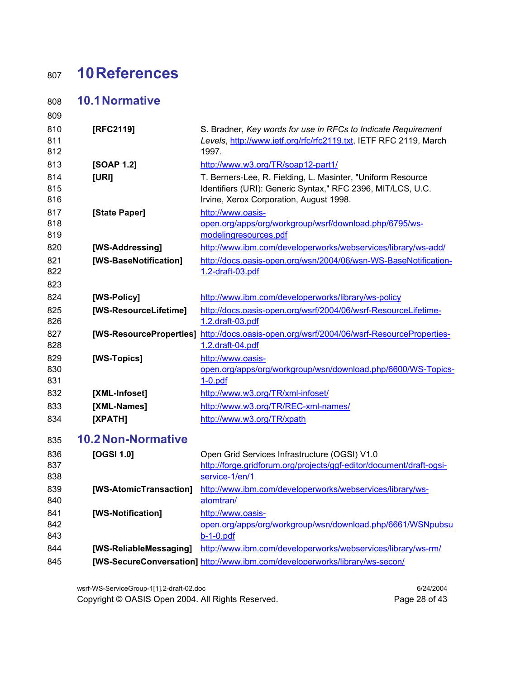# <span id="page-27-0"></span>807 **10 References**

# 808 **10.1 Normative**

| 809 |                           |                                                                                          |
|-----|---------------------------|------------------------------------------------------------------------------------------|
| 810 | [RFC2119]                 | S. Bradner, Key words for use in RFCs to Indicate Requirement                            |
| 811 |                           | Levels, http://www.ietf.org/rfc/rfc2119.txt, IETF RFC 2119, March                        |
| 812 |                           | 1997.                                                                                    |
| 813 | [SOAP 1.2]                | http://www.w3.org/TR/soap12-part1/                                                       |
| 814 | [URI]                     | T. Berners-Lee, R. Fielding, L. Masinter, "Uniform Resource                              |
| 815 |                           | Identifiers (URI): Generic Syntax," RFC 2396, MIT/LCS, U.C.                              |
| 816 |                           | Irvine, Xerox Corporation, August 1998.                                                  |
| 817 | [State Paper]             | http://www.oasis-                                                                        |
| 818 |                           | open.org/apps/org/workgroup/wsrf/download.php/6795/ws-                                   |
| 819 |                           | modelingresources.pdf                                                                    |
| 820 | [WS-Addressing]           | http://www.ibm.com/developerworks/webservices/library/ws-add/                            |
| 821 | [WS-BaseNotification]     | http://docs.oasis-open.org/wsn/2004/06/wsn-WS-BaseNotification-                          |
| 822 |                           | 1.2-draft-03.pdf                                                                         |
| 823 |                           |                                                                                          |
| 824 | [WS-Policy]               | http://www.ibm.com/developerworks/library/ws-policy                                      |
| 825 | [WS-ResourceLifetime]     | http://docs.oasis-open.org/wsrf/2004/06/wsrf-ResourceLifetime-                           |
| 826 |                           | 1.2.draft-03.pdf                                                                         |
| 827 |                           | [WS-ResourceProperties] http://docs.oasis-open.org/wsrf/2004/06/wsrf-ResourceProperties- |
| 828 |                           | 1.2.draft-04.pdf                                                                         |
| 829 | [WS-Topics]               | http://www.oasis-                                                                        |
| 830 |                           | open.org/apps/org/workgroup/wsn/download.php/6600/WS-Topics-                             |
| 831 |                           | $1-0.pdf$                                                                                |
| 832 | [XML-Infoset]             | http://www.w3.org/TR/xml-infoset/                                                        |
| 833 | [XML-Names]               | http://www.w3.org/TR/REC-xml-names/                                                      |
| 834 | [XPATH]                   | http://www.w3.org/TR/xpath                                                               |
| 835 | <b>10.2 Non-Normative</b> |                                                                                          |
| 836 | [OGSI 1.0]                | Open Grid Services Infrastructure (OGSI) V1.0                                            |
| 837 |                           | http://forge.gridforum.org/projects/ggf-editor/document/draft-ogsi-                      |
| 838 |                           | service-1/en/1                                                                           |
| 839 | [WS-AtomicTransaction]    | http://www.ibm.com/developerworks/webservices/library/ws-                                |
| 840 |                           | atomtran/                                                                                |
| 841 | [WS-Notification]         | http://www.oasis-                                                                        |
| 842 |                           | open.org/apps/org/workgroup/wsn/download.php/6661/WSNpubsu                               |
| 843 |                           | $b-1-0.pdf$                                                                              |
| 844 | [WS-ReliableMessaging]    | http://www.ibm.com/developerworks/webservices/library/ws-rm/                             |
| 845 |                           | [WS-SecureConversation] http://www.ibm.com/developerworks/library/ws-secon/              |

wsrf-WS-ServiceGroup-1[1].2-draft-02.doc<br>Copyright © OASIS Open 2004. All Rights Reserved. 6/24/2004 Page 28 of 43 Copyright © OASIS Open 2004. All Rights Reserved.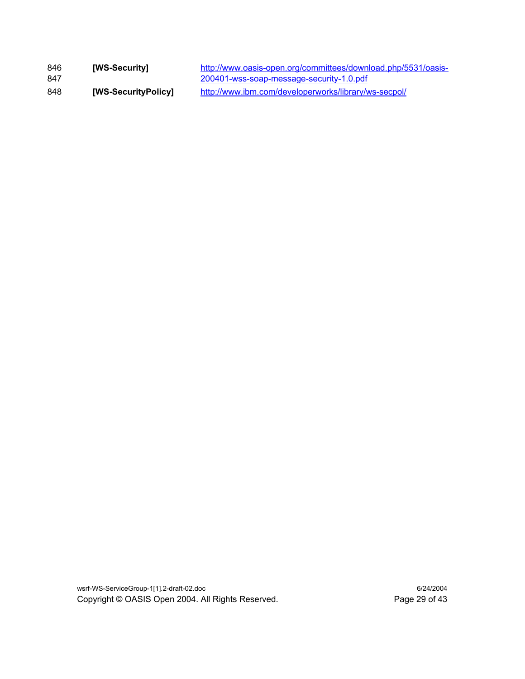| 846 | [WS-Security]       | http://www.oasis-open.org/committees/download.php/5531/oasis- |
|-----|---------------------|---------------------------------------------------------------|
| 847 |                     | <u>200401-wss-soap-message-security-1.0.pdf</u>               |
| 848 | [WS-SecurityPolicy] | http://www.ibm.com/developerworks/library/ws-secpol/          |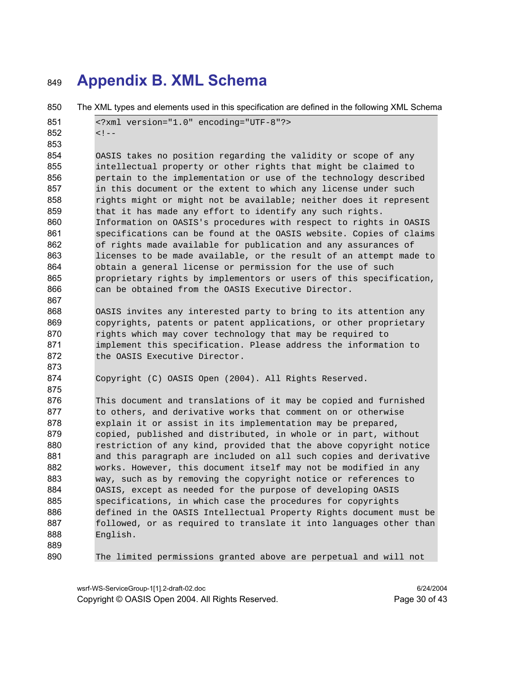# **Appendix B. XML Schema**

 The XML types and elements used in this specification are defined in the following XML Schema <?xml version="1.0" encoding="UTF-8"?>  $\leq 1 - (-)$  OASIS takes no position regarding the validity or scope of any intellectual property or other rights that might be claimed to pertain to the implementation or use of the technology described in this document or the extent to which any license under such 858 rights might or might not be available; neither does it represent that it has made any effort to identify any such rights. Information on OASIS's procedures with respect to rights in OASIS specifications can be found at the OASIS website. Copies of claims of rights made available for publication and any assurances of licenses to be made available, or the result of an attempt made to obtain a general license or permission for the use of such proprietary rights by implementors or users of this specification, 866 can be obtained from the OASIS Executive Director. OASIS invites any interested party to bring to its attention any copyrights, patents or patent applications, or other proprietary rights which may cover technology that may be required to implement this specification. Please address the information to 872 the OASIS Executive Director. Copyright (C) OASIS Open (2004). All Rights Reserved. This document and translations of it may be copied and furnished 877 to others, and derivative works that comment on or otherwise explain it or assist in its implementation may be prepared, copied, published and distributed, in whole or in part, without restriction of any kind, provided that the above copyright notice and this paragraph are included on all such copies and derivative works. However, this document itself may not be modified in any way, such as by removing the copyright notice or references to OASIS, except as needed for the purpose of developing OASIS specifications, in which case the procedures for copyrights defined in the OASIS Intellectual Property Rights document must be followed, or as required to translate it into languages other than English. The limited permissions granted above are perpetual and will not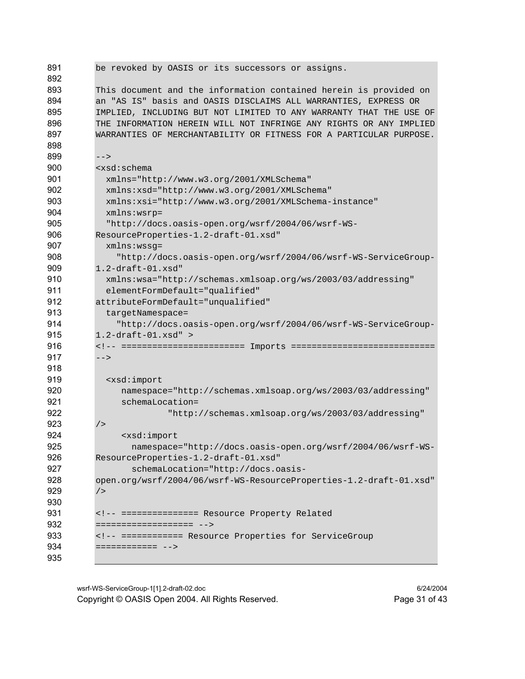| 891<br>892 | be revoked by OASIS or its successors or assigns.                                                                                                                                                                                                                                                                                                                                                                                                                                                                                                                                                                                                                                                                                                                                                                                                                                                                                                                                                                                |
|------------|----------------------------------------------------------------------------------------------------------------------------------------------------------------------------------------------------------------------------------------------------------------------------------------------------------------------------------------------------------------------------------------------------------------------------------------------------------------------------------------------------------------------------------------------------------------------------------------------------------------------------------------------------------------------------------------------------------------------------------------------------------------------------------------------------------------------------------------------------------------------------------------------------------------------------------------------------------------------------------------------------------------------------------|
| 893        | This document and the information contained herein is provided on                                                                                                                                                                                                                                                                                                                                                                                                                                                                                                                                                                                                                                                                                                                                                                                                                                                                                                                                                                |
| 894        | an "AS IS" basis and OASIS DISCLAIMS ALL WARRANTIES, EXPRESS OR                                                                                                                                                                                                                                                                                                                                                                                                                                                                                                                                                                                                                                                                                                                                                                                                                                                                                                                                                                  |
| 895        | IMPLIED, INCLUDING BUT NOT LIMITED TO ANY WARRANTY THAT THE USE OF                                                                                                                                                                                                                                                                                                                                                                                                                                                                                                                                                                                                                                                                                                                                                                                                                                                                                                                                                               |
| 896        | THE INFORMATION HEREIN WILL NOT INFRINGE ANY RIGHTS OR ANY IMPLIED                                                                                                                                                                                                                                                                                                                                                                                                                                                                                                                                                                                                                                                                                                                                                                                                                                                                                                                                                               |
| 897        | WARRANTIES OF MERCHANTABILITY OR FITNESS FOR A PARTICULAR PURPOSE.                                                                                                                                                                                                                                                                                                                                                                                                                                                                                                                                                                                                                                                                                                                                                                                                                                                                                                                                                               |
| 898        |                                                                                                                                                                                                                                                                                                                                                                                                                                                                                                                                                                                                                                                                                                                                                                                                                                                                                                                                                                                                                                  |
| 899        | $--&>$                                                                                                                                                                                                                                                                                                                                                                                                                                                                                                                                                                                                                                                                                                                                                                                                                                                                                                                                                                                                                           |
| 900        | <xsd:schema< td=""></xsd:schema<>                                                                                                                                                                                                                                                                                                                                                                                                                                                                                                                                                                                                                                                                                                                                                                                                                                                                                                                                                                                                |
| 901        | xmlns="http://www.w3.org/2001/XMLSchema"                                                                                                                                                                                                                                                                                                                                                                                                                                                                                                                                                                                                                                                                                                                                                                                                                                                                                                                                                                                         |
| 902        | xmlns:xsd="http://www.w3.org/2001/XMLSchema"                                                                                                                                                                                                                                                                                                                                                                                                                                                                                                                                                                                                                                                                                                                                                                                                                                                                                                                                                                                     |
| 903        | xmlns:xsi="http://www.w3.org/2001/XMLSchema-instance"                                                                                                                                                                                                                                                                                                                                                                                                                                                                                                                                                                                                                                                                                                                                                                                                                                                                                                                                                                            |
| 904        | xmlns:wsrp=                                                                                                                                                                                                                                                                                                                                                                                                                                                                                                                                                                                                                                                                                                                                                                                                                                                                                                                                                                                                                      |
| 905        | "http://docs.oasis-open.org/wsrf/2004/06/wsrf-WS-                                                                                                                                                                                                                                                                                                                                                                                                                                                                                                                                                                                                                                                                                                                                                                                                                                                                                                                                                                                |
| 906        | ResourceProperties-1.2-draft-01.xsd"                                                                                                                                                                                                                                                                                                                                                                                                                                                                                                                                                                                                                                                                                                                                                                                                                                                                                                                                                                                             |
| 907        | $xmlns:wssg=$                                                                                                                                                                                                                                                                                                                                                                                                                                                                                                                                                                                                                                                                                                                                                                                                                                                                                                                                                                                                                    |
| 908        | "http://docs.oasis-open.org/wsrf/2004/06/wsrf-WS-ServiceGroup-                                                                                                                                                                                                                                                                                                                                                                                                                                                                                                                                                                                                                                                                                                                                                                                                                                                                                                                                                                   |
| 909        | $1.2$ -draft- $01.x$ sd"                                                                                                                                                                                                                                                                                                                                                                                                                                                                                                                                                                                                                                                                                                                                                                                                                                                                                                                                                                                                         |
| 910        | xmlns:wsa="http://schemas.xmlsoap.org/ws/2003/03/addressing"                                                                                                                                                                                                                                                                                                                                                                                                                                                                                                                                                                                                                                                                                                                                                                                                                                                                                                                                                                     |
| 911        | elementFormDefault="qualified"                                                                                                                                                                                                                                                                                                                                                                                                                                                                                                                                                                                                                                                                                                                                                                                                                                                                                                                                                                                                   |
| 912        | attributeFormDefault="unqualified"                                                                                                                                                                                                                                                                                                                                                                                                                                                                                                                                                                                                                                                                                                                                                                                                                                                                                                                                                                                               |
| 913        | targetNamespace=                                                                                                                                                                                                                                                                                                                                                                                                                                                                                                                                                                                                                                                                                                                                                                                                                                                                                                                                                                                                                 |
| 914        | "http://docs.oasis-open.org/wsrf/2004/06/wsrf-WS-ServiceGroup-                                                                                                                                                                                                                                                                                                                                                                                                                                                                                                                                                                                                                                                                                                                                                                                                                                                                                                                                                                   |
| 915        | $1.2$ -draft-01.xsd" >                                                                                                                                                                                                                                                                                                                                                                                                                                                                                                                                                                                                                                                                                                                                                                                                                                                                                                                                                                                                           |
| 916        | ======================== Imports ============================</td></tr><tr><td>917</td><td><math>--&></math></td></tr><tr><td>918</td><td></td></tr><tr><td>919</td><td><xsd:import</td></tr><tr><td>920</td><td>namespace="http://schemas.xmlsoap.org/ws/2003/03/addressing"</td></tr><tr><td>921</td><td>schemaLocation=</td></tr><tr><td>922</td><td>"http://schemas.xmlsoap.org/ws/2003/03/addressing"</td></tr><tr><td>923</td><td>/</td></tr><tr><td>924</td><td><math><</math>x<math>sd:</math>import</td></tr><tr><td>925</td><td>namespace="http://docs.oasis-open.org/wsrf/2004/06/wsrf-WS-</td></tr><tr><td>926</td><td>ResourceProperties-1.2-draft-01.xsd"</td></tr><tr><td>927</td><td>schemaLocation="http://docs.oasis-</td></tr><tr><td>928</td><td>open.org/wsrf/2004/06/wsrf-WS-ResourceProperties-1.2-draft-01.xsd"</td></tr><tr><td>929</td><td>/</td></tr><tr><td>930</td><td></td></tr><tr><td>931</td><td><!-- ============== Resource Property Related</td></tr><tr><td>932</td><td>=================== |
| 933        | =========== Resource Properties for ServiceGroup</td></tr><tr><td>934</td><td>============                                                                                                                                                                                                                                                                                                                                                                                                                                                                                                                                                                                                                                                                                                                                                                                                                                                                                                                                       |
| 935        |                                                                                                                                                                                                                                                                                                                                                                                                                                                                                                                                                                                                                                                                                                                                                                                                                                                                                                                                                                                                                                  |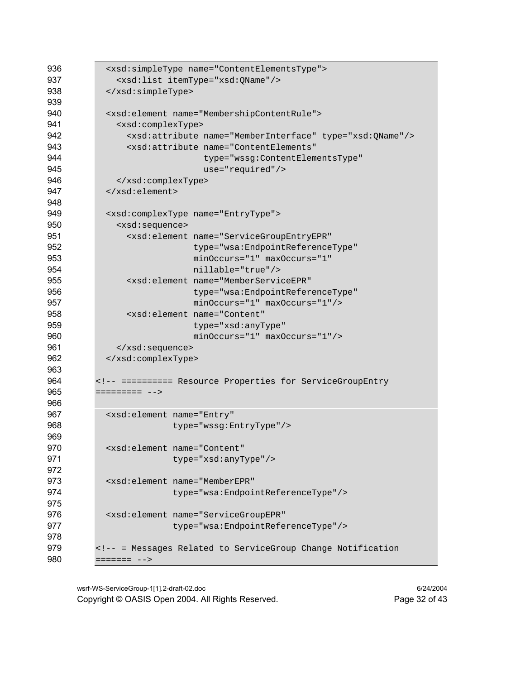```
936 <xsd:simpleType name="ContentElementsType">
937 <xsd:list itemType="xsd:QName"/> 
938 </xsd:simpleType>
939 
940 <xsd:element name="MembershipContentRule"> 
941 <xsd:complexType>
942 <xsd:attribute name="MemberInterface" type="xsd:QName"/> 
943 <xsd:attribute name="ContentElements"
944 bype="wssg:ContentElementsType"
945 use="required"/> 
946 </xsd:complexType>
947 </xsd:element>
948 
949 <xsd:complexType name="EntryType">
950 <xsd:sequence> 
951 <xsd:element name="ServiceGroupEntryEPR" 
952 type="wsa:EndpointReferenceType"
953 minOccurs="1" maxOccurs="1" 
954 nillable="true"/> 
955 <xsd:element name="MemberServiceEPR" 
956 type="wsa:EndpointReferenceType"
957 minOccurs="1" maxOccurs="1"/> 
958 <xsd:element name="Content" 
959 type="xsd:anyType"
960 minOccurs="1" maxOccurs="1"/> 
961 </xsd:sequence>
962 </xsd:complexType>
963 
964 <!-- ========== Resource Properties for ServiceGroupEntry 
965 = = = = - >966 
967 <xsd:element name="Entry" 
968 type="wssq:EntryType"/>
969 
970 <xsd:element name="Content" 
971 type="xsd:anyType"/>
972 
973 <xsd:element name="MemberEPR" 
974 type="wsa:EndpointReferenceType"/>
975 
976 <xsd:element name="ServiceGroupEPR" 
977 type="wsa:EndpointReferenceType"/>
978 
979 <!-- = Messages Related to ServiceGroup Change Notification 
980 ======= -->
```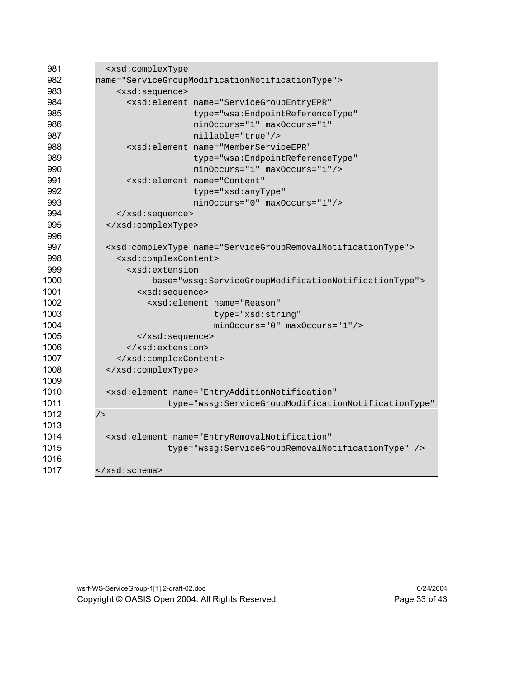| 981  | <xsd:complextype< th=""></xsd:complextype<>                                    |
|------|--------------------------------------------------------------------------------|
| 982  | name="ServiceGroupModificationNotificationType">                               |
| 983  | <xsd:sequence></xsd:sequence>                                                  |
| 984  | <xsd:element <="" name="ServiceGroupEntryEPR" th=""></xsd:element>             |
| 985  | type="wsa:EndpointReferenceType"                                               |
| 986  | minOccurs="1" maxOccurs="1"                                                    |
| 987  | nillable="true"/>                                                              |
| 988  | <xsd:element <="" name="MemberServiceEPR" th=""></xsd:element>                 |
| 989  | type="wsa:EndpointReferenceType"                                               |
| 990  | minOccurs="1" maxOccurs="1"/>                                                  |
| 991  | <xsd:element <="" name="Content" th=""></xsd:element>                          |
| 992  | type="xsd:anyType"                                                             |
| 993  | $minOccurs="0" maxOccurs="1*/>$                                                |
| 994  |                                                                                |
| 995  |                                                                                |
| 996  |                                                                                |
| 997  | <xsd:complextype name="ServiceGroupRemovalNotificationType"></xsd:complextype> |
| 998  | <xsd:complexcontent></xsd:complexcontent>                                      |
| 999  | <xsd:extension< th=""></xsd:extension<>                                        |
| 1000 | base="wssg:ServiceGroupModificationNotificationType">                          |
| 1001 | <xsd:sequence></xsd:sequence>                                                  |
| 1002 | <xsd:element <="" name="Reason" th=""></xsd:element>                           |
| 1003 | type="xsd:string"                                                              |
| 1004 | $minOccurs="0" maxOccurs="1*/>$                                                |
| 1005 |                                                                                |
| 1006 |                                                                                |
| 1007 |                                                                                |
| 1008 |                                                                                |
| 1009 |                                                                                |
| 1010 | <xsd:element <="" name="EntryAdditionNotification" th=""></xsd:element>        |
| 1011 | type="wssg:ServiceGroupModificationNotificationType"                           |
| 1012 | /                                                                              |
| 1013 |                                                                                |
| 1014 | <xsd:element <="" name="EntryRemovalNotification" th=""></xsd:element>         |
| 1015 | type="wssg:ServiceGroupRemovalNotificationType" />                             |
| 1016 |                                                                                |
| 1017 |                                                                                |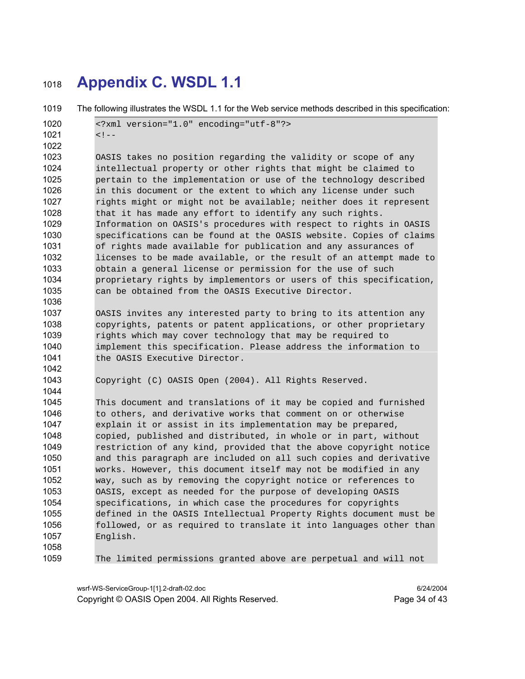# **Appendix C. WSDL 1.1**

```
1019 
      The following illustrates the WSDL 1.1 for the Web service methods described in this specification: 
1020 <?xml version="1.0" encoding="utf-8"?> 
1021 \leq 1 - (-)1022 
1023 OASIS takes no position regarding the validity or scope of any 
1024 intellectual property or other rights that might be claimed to 
1025 pertain to the implementation or use of the technology described 
1026 in this document or the extent to which any license under such 
1027 rights might or might not be available; neither does it represent 
1028 that it has made any effort to identify any such rights.
1029 Information on OASIS's procedures with respect to rights in OASIS 
1030 specifications can be found at the OASIS website. Copies of claims 
1031 of rights made available for publication and any assurances of 
1032 licenses to be made available, or the result of an attempt made to 
1033 obtain a general license or permission for the use of such 
1034 proprietary rights by implementors or users of this specification, 
1035 can be obtained from the OASIS Executive Director. 
1036 
1037 OASIS invites any interested party to bring to its attention any 
1038 copyrights, patents or patent applications, or other proprietary 
1039 rights which may cover technology that may be required to 
1040 implement this specification. Please address the information to 
1041 the OASIS Executive Director.
1042 
1043 Copyright (C) OASIS Open (2004). All Rights Reserved. 
1044 
1045 This document and translations of it may be copied and furnished 
1046 to others, and derivative works that comment on or otherwise 
1047 explain it or assist in its implementation may be prepared, 
1048 copied, published and distributed, in whole or in part, without 
1049 restriction of any kind, provided that the above copyright notice 
1050 and this paragraph are included on all such copies and derivative 
1051 works. However, this document itself may not be modified in any 
1052 way, such as by removing the copyright notice or references to 
1053 OASIS, except as needed for the purpose of developing OASIS 
1054 specifications, in which case the procedures for copyrights 
1055 defined in the OASIS Intellectual Property Rights document must be 
1056 followed, or as required to translate it into languages other than 
1057 English. 
1058 
1059 The limited permissions granted above are perpetual and will not
```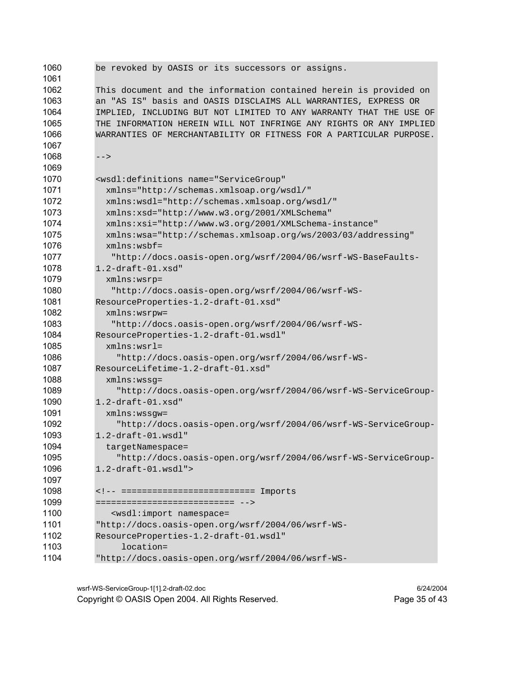| 1060<br>1061 | be revoked by OASIS or its successors or assigns.                    |
|--------------|----------------------------------------------------------------------|
| 1062         | This document and the information contained herein is provided on    |
| 1063         | an "AS IS" basis and OASIS DISCLAIMS ALL WARRANTIES, EXPRESS OR      |
| 1064         | IMPLIED, INCLUDING BUT NOT LIMITED TO ANY WARRANTY THAT THE USE OF   |
| 1065         | THE INFORMATION HEREIN WILL NOT INFRINGE ANY RIGHTS OR ANY IMPLIED   |
| 1066         | WARRANTIES OF MERCHANTABILITY OR FITNESS FOR A PARTICULAR PURPOSE.   |
| 1067         |                                                                      |
| 1068         | $--&>$                                                               |
| 1069         |                                                                      |
| 1070         | <wsdl:definitions <="" name="ServiceGroup" td=""></wsdl:definitions> |
| 1071         |                                                                      |
|              | xmlns="http://schemas.xmlsoap.org/wsdl/"                             |
| 1072         | xmlns:wsdl="http://schemas.xmlsoap.org/wsdl/"                        |
| 1073         | xmlns:xsd="http://www.w3.org/2001/XMLSchema"                         |
| 1074         | xmlns:xsi="http://www.w3.org/2001/XMLSchema-instance"                |
| 1075         | xmlns:wsa="http://schemas.xmlsoap.org/ws/2003/03/addressing"         |
| 1076         | $xmlns:wsbf =$                                                       |
| 1077         | "http://docs.oasis-open.org/wsrf/2004/06/wsrf-WS-BaseFaults-         |
| 1078         | $1.2$ -draft- $01.x$ sd"                                             |
| 1079         | $xmlns:wsrp =$                                                       |
| 1080         | "http://docs.oasis-open.org/wsrf/2004/06/wsrf-WS-                    |
| 1081         | ResourceProperties-1.2-draft-01.xsd"                                 |
| 1082         | $xmlns:wsrpw =$                                                      |
| 1083         | "http://docs.oasis-open.org/wsrf/2004/06/wsrf-WS-                    |
| 1084         | ResourceProperties-1.2-draft-01.wsdl"                                |
| 1085         | $xmlns:wsrl =$                                                       |
| 1086         | "http://docs.oasis-open.org/wsrf/2004/06/wsrf-WS-                    |
| 1087         | ResourceLifetime-1.2-draft-01.xsd"                                   |
| 1088         | $xmlns:wssq =$                                                       |
| 1089         | "http://docs.oasis-open.org/wsrf/2004/06/wsrf-WS-ServiceGroup-       |
| 1090         | $1.2$ -draft-01.xsd"                                                 |
| 1091         | $xmlns:$ wssqw=                                                      |
| 1092         | "http://docs.oasis-open.org/wsrf/2004/06/wsrf-WS-ServiceGroup-       |
| 1093         | $1.2$ -draft-01.wsdl"                                                |
| 1094         | targetNamespace=                                                     |
| 1095         | "http://docs.oasis-open.org/wsrf/2004/06/wsrf-WS-ServiceGroup-       |
| 1096         | $1.2$ -draft-01.wsdl">                                               |
| 1097         |                                                                      |
| 1098         |                                                                      |
| 1099         | ============================ -->                                     |
| 1100         | <wsdl:import namespace="&lt;/td"></wsdl:import>                      |
| 1101         | "http://docs.oasis-open.org/wsrf/2004/06/wsrf-WS-                    |
| 1102         | ResourceProperties-1.2-draft-01.wsdl"                                |
| 1103         | location=                                                            |
| 1104         | "http://docs.oasis-open.org/wsrf/2004/06/wsrf-WS-                    |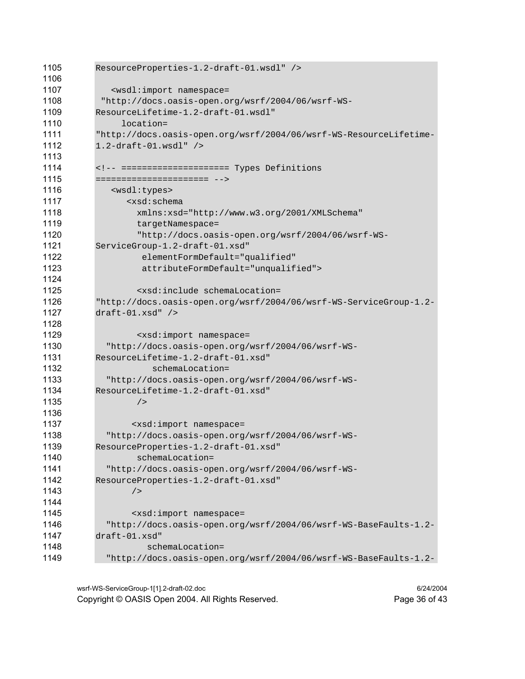| 1105 | ResourceProperties-1.2-draft-01.wsdl" />                                                      |
|------|-----------------------------------------------------------------------------------------------|
| 1106 |                                                                                               |
| 1107 | <wsdl:import namespace="&lt;/td"></wsdl:import>                                               |
| 1108 | "http://docs.oasis-open.org/wsrf/2004/06/wsrf-WS-                                             |
| 1109 | ResourceLifetime-1.2-draft-01.wsdl"                                                           |
| 1110 | location=                                                                                     |
| 1111 | "http://docs.oasis-open.org/wsrf/2004/06/wsrf-WS-ResourceLifetime-                            |
| 1112 | $1.2$ -draft-01.wsdl" />                                                                      |
| 1113 |                                                                                               |
| 1114 | ===================== Types Definitions</td></tr><tr><td>1115</td><td>======================= |
| 1116 | <wsdl:types></wsdl:types>                                                                     |
| 1117 | $<$ xsd: schema                                                                               |
| 1118 | xmlns:xsd="http://www.w3.org/2001/XMLSchema"                                                  |
| 1119 | targetNamespace=                                                                              |
| 1120 | "http://docs.oasis-open.org/wsrf/2004/06/wsrf-WS-                                             |
| 1121 | ServiceGroup-1.2-draft-01.xsd"                                                                |
| 1122 | elementFormDefault="qualified"                                                                |
| 1123 | attributeFormDefault="unqualified">                                                           |
| 1124 |                                                                                               |
| 1125 | <xsd:include schemalocation="&lt;/td"></xsd:include>                                          |
| 1126 | "http://docs.oasis-open.org/wsrf/2004/06/wsrf-WS-ServiceGroup-1.2-                            |
| 1127 | $draff-01.xsd"$ />                                                                            |
| 1128 |                                                                                               |
| 1129 | <xsd:import namespace="&lt;/td"></xsd:import>                                                 |
| 1130 | "http://docs.oasis-open.org/wsrf/2004/06/wsrf-WS-                                             |
| 1131 | ResourceLifetime-1.2-draft-01.xsd"                                                            |
| 1132 | schemaLocation=                                                                               |
| 1133 | "http://docs.oasis-open.org/wsrf/2004/06/wsrf-WS-                                             |
| 1134 | ResourceLifetime-1.2-draft-01.xsd"                                                            |
| 1135 | /                                                                                             |
| 1136 |                                                                                               |
| 1137 | <xsd:import namespace="&lt;/td"></xsd:import>                                                 |
| 1138 | "http://docs.oasis-open.org/wsrf/2004/06/wsrf-WS-                                             |
| 1139 | ResourceProperties-1.2-draft-01.xsd"                                                          |
| 1140 | schemaLocation=                                                                               |
| 1141 | "http://docs.oasis-open.org/wsrf/2004/06/wsrf-WS-                                             |
| 1142 | ResourceProperties-1.2-draft-01.xsd"                                                          |
| 1143 | /                                                                                             |
| 1144 |                                                                                               |
| 1145 | <xsd:import namespace="&lt;/td"></xsd:import>                                                 |
| 1146 | "http://docs.oasis-open.org/wsrf/2004/06/wsrf-WS-BaseFaults-1.2-                              |
| 1147 | $draff-01.xsd"$                                                                               |
| 1148 | schemaLocation=                                                                               |
| 1149 | "http://docs.oasis-open.org/wsrf/2004/06/wsrf-WS-BaseFaults-1.2-                              |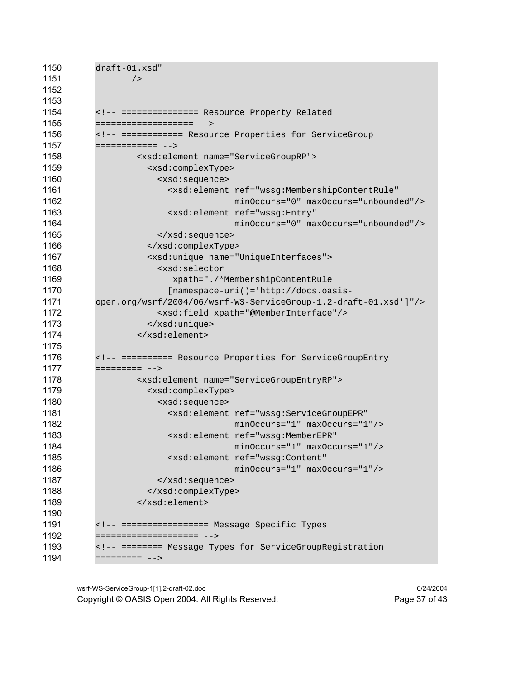<span id="page-36-0"></span>

| 1150 | draft-01.xsd"                                                                                                                                                                                                                                                                                                                                                                                                                                                                                                                                                                                                                                                                                                                                                                                                                                                                                                                                                                                                          |
|------|------------------------------------------------------------------------------------------------------------------------------------------------------------------------------------------------------------------------------------------------------------------------------------------------------------------------------------------------------------------------------------------------------------------------------------------------------------------------------------------------------------------------------------------------------------------------------------------------------------------------------------------------------------------------------------------------------------------------------------------------------------------------------------------------------------------------------------------------------------------------------------------------------------------------------------------------------------------------------------------------------------------------|
| 1151 | /                                                                                                                                                                                                                                                                                                                                                                                                                                                                                                                                                                                                                                                                                                                                                                                                                                                                                                                                                                                                                      |
| 1152 |                                                                                                                                                                                                                                                                                                                                                                                                                                                                                                                                                                                                                                                                                                                                                                                                                                                                                                                                                                                                                        |
| 1153 |                                                                                                                                                                                                                                                                                                                                                                                                                                                                                                                                                                                                                                                                                                                                                                                                                                                                                                                                                                                                                        |
| 1154 | =============== Resource Property Related</td></tr><tr><td>1155</td><td>===================                                                                                                                                                                                                                                                                                                                                                                                                                                                                                                                                                                                                                                                                                                                                                                                                                                                                                                                            |
| 1156 | ============ Resource Properties for ServiceGroup</td></tr><tr><td>1157</td><td>=============                                                                                                                                                                                                                                                                                                                                                                                                                                                                                                                                                                                                                                                                                                                                                                                                                                                                                                                          |
| 1158 | <xsd:element name="ServiceGroupRP"></xsd:element>                                                                                                                                                                                                                                                                                                                                                                                                                                                                                                                                                                                                                                                                                                                                                                                                                                                                                                                                                                      |
| 1159 | <xsd:complextype></xsd:complextype>                                                                                                                                                                                                                                                                                                                                                                                                                                                                                                                                                                                                                                                                                                                                                                                                                                                                                                                                                                                    |
| 1160 | <xsd:sequence></xsd:sequence>                                                                                                                                                                                                                                                                                                                                                                                                                                                                                                                                                                                                                                                                                                                                                                                                                                                                                                                                                                                          |
| 1161 | <xsd:element <="" ref="wssg:MembershipContentRule" td=""></xsd:element>                                                                                                                                                                                                                                                                                                                                                                                                                                                                                                                                                                                                                                                                                                                                                                                                                                                                                                                                                |
| 1162 | minOccurs="0" maxOccurs="unbounded"/>                                                                                                                                                                                                                                                                                                                                                                                                                                                                                                                                                                                                                                                                                                                                                                                                                                                                                                                                                                                  |
| 1163 | <xsd:element <="" ref="wssg:Entry" td=""></xsd:element>                                                                                                                                                                                                                                                                                                                                                                                                                                                                                                                                                                                                                                                                                                                                                                                                                                                                                                                                                                |
| 1164 | minOccurs="0" maxOccurs="unbounded"/>                                                                                                                                                                                                                                                                                                                                                                                                                                                                                                                                                                                                                                                                                                                                                                                                                                                                                                                                                                                  |
| 1165 |                                                                                                                                                                                                                                                                                                                                                                                                                                                                                                                                                                                                                                                                                                                                                                                                                                                                                                                                                                                                                        |
| 1166 |                                                                                                                                                                                                                                                                                                                                                                                                                                                                                                                                                                                                                                                                                                                                                                                                                                                                                                                                                                                                                        |
| 1167 | <xsd:unique name="UniqueInterfaces"></xsd:unique>                                                                                                                                                                                                                                                                                                                                                                                                                                                                                                                                                                                                                                                                                                                                                                                                                                                                                                                                                                      |
| 1168 | <xsd:selector< td=""></xsd:selector<>                                                                                                                                                                                                                                                                                                                                                                                                                                                                                                                                                                                                                                                                                                                                                                                                                                                                                                                                                                                  |
| 1169 | xpath="./*MembershipContentRule                                                                                                                                                                                                                                                                                                                                                                                                                                                                                                                                                                                                                                                                                                                                                                                                                                                                                                                                                                                        |
| 1170 | $[namespace-uri() = 'http://docs.oasis-$                                                                                                                                                                                                                                                                                                                                                                                                                                                                                                                                                                                                                                                                                                                                                                                                                                                                                                                                                                               |
| 1171 | open.org/wsrf/2004/06/wsrf-WS-ServiceGroup-1.2-draft-01.xsd']"/>                                                                                                                                                                                                                                                                                                                                                                                                                                                                                                                                                                                                                                                                                                                                                                                                                                                                                                                                                       |
| 1172 | <xsd:field xpath="@MemberInterface"></xsd:field>                                                                                                                                                                                                                                                                                                                                                                                                                                                                                                                                                                                                                                                                                                                                                                                                                                                                                                                                                                       |
| 1173 |                                                                                                                                                                                                                                                                                                                                                                                                                                                                                                                                                                                                                                                                                                                                                                                                                                                                                                                                                                                                                        |
| 1174 |                                                                                                                                                                                                                                                                                                                                                                                                                                                                                                                                                                                                                                                                                                                                                                                                                                                                                                                                                                                                                        |
| 1175 |                                                                                                                                                                                                                                                                                                                                                                                                                                                                                                                                                                                                                                                                                                                                                                                                                                                                                                                                                                                                                        |
| 1176 | ========== Resource Properties for ServiceGroupEntry</td></tr><tr><td>1177</td><td><math>=</math> = = = = = = = = - - ></td></tr><tr><td>1178</td><td><xsd:element name="ServiceGroupEntryRP"></td></tr><tr><td>1179</td><td><xsd:complexType></td></tr><tr><td>1180</td><td><xsd:sequence></td></tr><tr><td>1181</td><td><xsd:element ref="wssg:ServiceGroupEPR"</td></tr><tr><td>1182</td><td>minOccurs="1" maxOccurs="1"/></td></tr><tr><td>1183</td><td><xsd:element ref="wssg:MemberEPR"</td></tr><tr><td>1184</td><td>minOccurs="1" maxOccurs="1"/></td></tr><tr><td>1185</td><td><xsd:element ref="wssg:Content"</td></tr><tr><td>1186</td><td>minOccurs="1" maxOccurs="1"/></td></tr><tr><td>1187</td><td></xsd:sequence></td></tr><tr><td>1188</td><td></xsd:complexType></td></tr><tr><td>1189</td><td><math>\langle xsd:element\rangle</math></td></tr><tr><td>1190</td><td></td></tr><tr><td>1191</td><td><!-- ================= Message Specific Types</td></tr><tr><td>1192</td><td>==================== |
| 1193 | ======== Message Types for ServiceGroupRegistration</td></tr><tr><td>1194</td><td>========= =                                                                                                                                                                                                                                                                                                                                                                                                                                                                                                                                                                                                                                                                                                                                                                                                                                                                                                                          |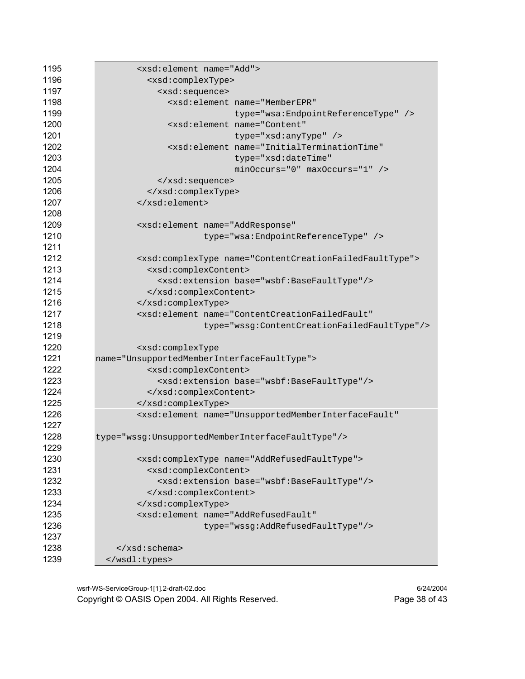| 1195 | <xsd:element name="Add"></xsd:element>                                        |
|------|-------------------------------------------------------------------------------|
| 1196 | <xsd:complextype></xsd:complextype>                                           |
| 1197 | <xsd:sequence></xsd:sequence>                                                 |
| 1198 | <xsd:element <="" name="MemberEPR" td=""></xsd:element>                       |
| 1199 | type="wsa:EndpointReferenceType" />                                           |
| 1200 | <xsd:element <="" name="Content" td=""></xsd:element>                         |
| 1201 | type="xsd:anyType" />                                                         |
| 1202 | <xsd:element <="" name="InitialTerminationTime" td=""></xsd:element>          |
| 1203 | type="xsd:dateTime"                                                           |
| 1204 | minOccurs="0" maxOccurs="1" />                                                |
| 1205 |                                                                               |
| 1206 |                                                                               |
| 1207 |                                                                               |
| 1208 |                                                                               |
| 1209 | <xsd:element <="" name="AddResponse" td=""></xsd:element>                     |
| 1210 | type="wsa:EndpointReferenceType" />                                           |
| 1211 |                                                                               |
| 1212 | <xsd:complextype name="ContentCreationFailedFaultType"></xsd:complextype>     |
| 1213 | <xsd:complexcontent></xsd:complexcontent>                                     |
| 1214 | <xsd:extension base="wsbf:BaseFaultType"></xsd:extension>                     |
| 1215 |                                                                               |
| 1216 |                                                                               |
| 1217 | <xsd:element <="" name="ContentCreationFailedFault" td=""></xsd:element>      |
| 1218 | type="wssg:ContentCreationFailedFaultType"/>                                  |
| 1219 |                                                                               |
| 1220 | <xsd:complextype< td=""></xsd:complextype<>                                   |
| 1221 | name="UnsupportedMemberInterfaceFaultType">                                   |
| 1222 | <xsd:complexcontent></xsd:complexcontent>                                     |
| 1223 | <xsd:extension base="wsbf:BaseFaultType"></xsd:extension>                     |
| 1224 |                                                                               |
| 1225 |                                                                               |
| 1226 | <xsd:element <="" name="UnsupportedMemberInterfaceFault" td=""></xsd:element> |
| 1227 |                                                                               |
| 1228 | type="wssg:UnsupportedMemberInterfaceFaultType"/>                             |
| 1229 |                                                                               |
| 1230 | <xsd:complextype name="AddRefusedFaultType"></xsd:complextype>                |
| 1231 | <xsd:complexcontent></xsd:complexcontent>                                     |
| 1232 | <xsd:extension base="wsbf:BaseFaultType"></xsd:extension>                     |
| 1233 |                                                                               |
| 1234 |                                                                               |
| 1235 | <xsd:element <="" name="AddRefusedFault" td=""></xsd:element>                 |
| 1236 | type="wssg:AddRefusedFaultType"/>                                             |
| 1237 |                                                                               |
| 1238 | $\langle xsd:schema \rangle$                                                  |
| 1239 |                                                                               |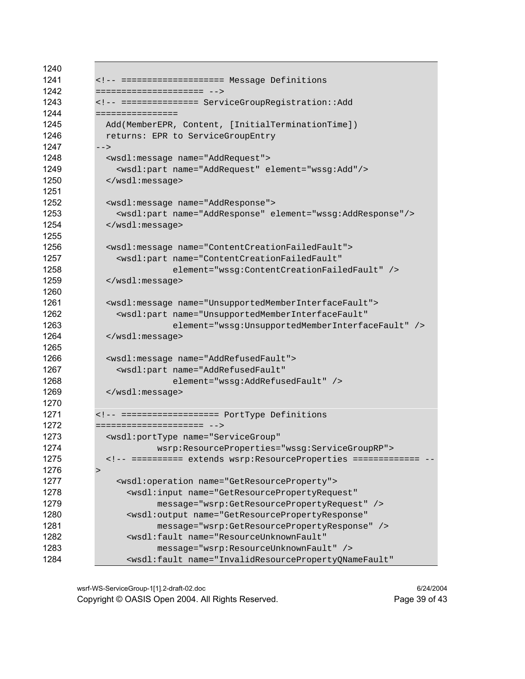| 1240 |                                                                                                                                                                                                                                                                                                                                                                                                                                                                                                                                                                                                                                                                                                                                                                                                                                                                                                                                                                                                                                                                                                                                                                                                                                                                                                                                                                                                                                                                                                                                                                                                                                                                                                                                                                                                                                                                                                                                              |
|------|----------------------------------------------------------------------------------------------------------------------------------------------------------------------------------------------------------------------------------------------------------------------------------------------------------------------------------------------------------------------------------------------------------------------------------------------------------------------------------------------------------------------------------------------------------------------------------------------------------------------------------------------------------------------------------------------------------------------------------------------------------------------------------------------------------------------------------------------------------------------------------------------------------------------------------------------------------------------------------------------------------------------------------------------------------------------------------------------------------------------------------------------------------------------------------------------------------------------------------------------------------------------------------------------------------------------------------------------------------------------------------------------------------------------------------------------------------------------------------------------------------------------------------------------------------------------------------------------------------------------------------------------------------------------------------------------------------------------------------------------------------------------------------------------------------------------------------------------------------------------------------------------------------------------------------------------|
| 1241 | ==================== Message Definitions</td></tr><tr><td>1242</td><td></td></tr><tr><td>1243</td><td><!-- ============== ServiceGroupRegistration::Add</td></tr><tr><td>1244</td><td>================</td></tr><tr><td>1245</td><td>Add(MemberEPR, Content, [InitialTerminationTime])</td></tr><tr><td>1246</td><td>returns: EPR to ServiceGroupEntry</td></tr><tr><td>1247</td><td><math>--&></math></td></tr><tr><td>1248</td><td><wsdl:message name="AddRequest"></td></tr><tr><td>1249</td><td><wsdl:part name="AddRequest" element="wssg:Add"/></td></tr><tr><td>1250</td><td></wsdl:message></td></tr><tr><td>1251</td><td></td></tr><tr><td>1252</td><td><wsdl:message name="AddResponse"></td></tr><tr><td>1253</td><td><wsdl:part name="AddResponse" element="wssg:AddResponse"/></td></tr><tr><td>1254</td><td></wsdl:message></td></tr><tr><td>1255</td><td></td></tr><tr><td>1256</td><td><wsdl:message name="ContentCreationFailedFault"></td></tr><tr><td>1257</td><td><wsdl:part name="ContentCreationFailedFault"</td></tr><tr><td>1258</td><td>element="wssg:ContentCreationFailedFault" /></td></tr><tr><td>1259</td><td></wsdl:message></td></tr><tr><td>1260</td><td></td></tr><tr><td>1261</td><td><wsdl:message name="UnsupportedMemberInterfaceFault"></td></tr><tr><td>1262</td><td><wsdl:part name="UnsupportedMemberInterfaceFault"</td></tr><tr><td>1263</td><td>element="wssg:UnsupportedMemberInterfaceFault" /></td></tr><tr><td>1264</td><td></wsdl:message></td></tr><tr><td>1265</td><td></td></tr><tr><td>1266</td><td><wsdl:message name="AddRefusedFault"></td></tr><tr><td>1267</td><td><wsdl:part name="AddRefusedFault"</td></tr><tr><td>1268</td><td>element="wssg:AddRefusedFault" /></td></tr><tr><td>1269</td><td></wsdl:message></td></tr><tr><td>1270</td><td></td></tr><tr><td>1271</td><td><!-- =================== PortType Definitions</td></tr><tr><td>1272</td><td>===================== |
| 1273 | <wsdl:porttype <="" name="ServiceGroup" td=""></wsdl:porttype>                                                                                                                                                                                                                                                                                                                                                                                                                                                                                                                                                                                                                                                                                                                                                                                                                                                                                                                                                                                                                                                                                                                                                                                                                                                                                                                                                                                                                                                                                                                                                                                                                                                                                                                                                                                                                                                                               |
| 1274 | wsrp:ResourceProperties="wssq:ServiceGroupRP">                                                                                                                                                                                                                                                                                                                                                                                                                                                                                                                                                                                                                                                                                                                                                                                                                                                                                                                                                                                                                                                                                                                                                                                                                                                                                                                                                                                                                                                                                                                                                                                                                                                                                                                                                                                                                                                                                               |
| 1275 | <!-- ========== extends wsrp:ResourceProperties ============= --</td>                                                                                                                                                                                                                                                                                                                                                                                                                                                                                                                                                                                                                                                                                                                                                                                                                                                                                                                                                                                                                                                                                                                                                                                                                                                                                                                                                                                                                                                                                                                                                                                                                                                                                                                                                                                                                                                                        |
| 1276 | $\geq$                                                                                                                                                                                                                                                                                                                                                                                                                                                                                                                                                                                                                                                                                                                                                                                                                                                                                                                                                                                                                                                                                                                                                                                                                                                                                                                                                                                                                                                                                                                                                                                                                                                                                                                                                                                                                                                                                                                                       |
| 1277 | <wsdl:operation name="GetResourceProperty"></wsdl:operation>                                                                                                                                                                                                                                                                                                                                                                                                                                                                                                                                                                                                                                                                                                                                                                                                                                                                                                                                                                                                                                                                                                                                                                                                                                                                                                                                                                                                                                                                                                                                                                                                                                                                                                                                                                                                                                                                                 |
| 1278 | <wsdl:input <="" name="GetResourcePropertyRequest" td=""></wsdl:input>                                                                                                                                                                                                                                                                                                                                                                                                                                                                                                                                                                                                                                                                                                                                                                                                                                                                                                                                                                                                                                                                                                                                                                                                                                                                                                                                                                                                                                                                                                                                                                                                                                                                                                                                                                                                                                                                       |
| 1279 | message="wsrp:GetResourcePropertyRequest" />                                                                                                                                                                                                                                                                                                                                                                                                                                                                                                                                                                                                                                                                                                                                                                                                                                                                                                                                                                                                                                                                                                                                                                                                                                                                                                                                                                                                                                                                                                                                                                                                                                                                                                                                                                                                                                                                                                 |
| 1280 | <wsdl:output <="" name="GetResourcePropertyResponse" td=""></wsdl:output>                                                                                                                                                                                                                                                                                                                                                                                                                                                                                                                                                                                                                                                                                                                                                                                                                                                                                                                                                                                                                                                                                                                                                                                                                                                                                                                                                                                                                                                                                                                                                                                                                                                                                                                                                                                                                                                                    |
| 1281 | message="wsrp:GetResourcePropertyResponse" />                                                                                                                                                                                                                                                                                                                                                                                                                                                                                                                                                                                                                                                                                                                                                                                                                                                                                                                                                                                                                                                                                                                                                                                                                                                                                                                                                                                                                                                                                                                                                                                                                                                                                                                                                                                                                                                                                                |
| 1282 | <wsdl:fault <="" name="ResourceUnknownFault" td=""></wsdl:fault>                                                                                                                                                                                                                                                                                                                                                                                                                                                                                                                                                                                                                                                                                                                                                                                                                                                                                                                                                                                                                                                                                                                                                                                                                                                                                                                                                                                                                                                                                                                                                                                                                                                                                                                                                                                                                                                                             |
| 1283 | message="wsrp:ResourceUnknownFault" />                                                                                                                                                                                                                                                                                                                                                                                                                                                                                                                                                                                                                                                                                                                                                                                                                                                                                                                                                                                                                                                                                                                                                                                                                                                                                                                                                                                                                                                                                                                                                                                                                                                                                                                                                                                                                                                                                                       |
| 1284 | <wsdl:fault <="" name="InvalidResourcePropertyQNameFault" td=""></wsdl:fault>                                                                                                                                                                                                                                                                                                                                                                                                                                                                                                                                                                                                                                                                                                                                                                                                                                                                                                                                                                                                                                                                                                                                                                                                                                                                                                                                                                                                                                                                                                                                                                                                                                                                                                                                                                                                                                                                |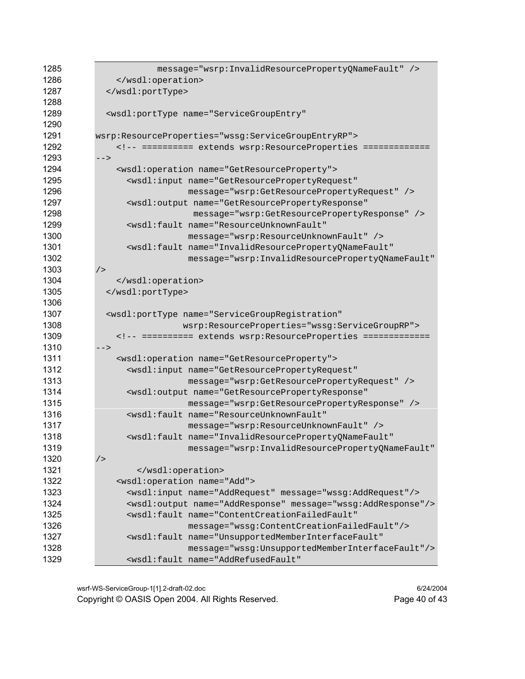| 1285 | message="wsrp:InvalidResourcePropertyQNameFault" />                           |
|------|-------------------------------------------------------------------------------|
| 1286 |                                                                               |
| 1287 |                                                                               |
| 1288 |                                                                               |
| 1289 | <wsdl:porttype <="" name="ServiceGroupEntry" td=""></wsdl:porttype>           |
| 1290 |                                                                               |
| 1291 | wsrp:ResourceProperties="wssg:ServiceGroupEntryRP">                           |
| 1292 | <!-- ========== extends wsrp:ResourceProperties =============</td>            |
| 1293 | $--$                                                                          |
| 1294 | <wsdl:operation name="GetResourceProperty"></wsdl:operation>                  |
| 1295 | <wsdl:input <="" name="GetResourcePropertyRequest" td=""></wsdl:input>        |
| 1296 | message="wsrp:GetResourcePropertyRequest" />                                  |
| 1297 | <wsdl:output <="" name="GetResourcePropertyResponse" td=""></wsdl:output>     |
| 1298 | message="wsrp:GetResourcePropertyResponse" />                                 |
| 1299 | <wsdl:fault <="" name="ResourceUnknownFault" td=""></wsdl:fault>              |
| 1300 | message="wsrp:ResourceUnknownFault" />                                        |
| 1301 | <wsdl:fault <="" name="InvalidResourcePropertyQNameFault" td=""></wsdl:fault> |
| 1302 | message="wsrp:InvalidResourcePropertyQNameFault"                              |
| 1303 | /                                                                             |
| 1304 |                                                                               |
| 1305 |                                                                               |
| 1306 |                                                                               |
| 1307 | <wsdl:porttype <="" name="ServiceGroupRegistration" td=""></wsdl:porttype>    |
| 1308 | wsrp:ResourceProperties="wssg:ServiceGroupRP">                                |
| 1309 | <!-- ========== extends wsrp:ResourceProperties =============</td>            |
| 1310 | $--$                                                                          |
| 1311 | <wsdl:operation name="GetResourceProperty"></wsdl:operation>                  |
| 1312 | <wsdl:input <="" name="GetResourcePropertyRequest" td=""></wsdl:input>        |
| 1313 | message="wsrp:GetResourcePropertyRequest" />                                  |
| 1314 | <wsdl:output <="" name="GetResourcePropertyResponse" td=""></wsdl:output>     |
| 1315 | message="wsrp:GetResourcePropertyResponse" />                                 |
| 1316 | <wsdl:fault <="" name="ResourceUnknownFault" td=""></wsdl:fault>              |
| 1317 | message="wsrp:ResourceUnknownFault" />                                        |
| 1318 | <wsdl:fault <="" name="InvalidResourcePropertyQNameFault" td=""></wsdl:fault> |
| 1319 | message="wsrp:InvalidResourcePropertyQNameFault"                              |
| 1320 | /                                                                             |
| 1321 |                                                                               |
| 1322 | <wsdl:operation name="Add"></wsdl:operation>                                  |
| 1323 | <wsdl:input message="wssg:AddRequest" name="AddRequest"></wsdl:input>         |
| 1324 | <wsdl:output message="wssg:AddResponse" name="AddResponse"></wsdl:output>     |
| 1325 | <wsdl:fault <="" name="ContentCreationFailedFault" td=""></wsdl:fault>        |
| 1326 | message="wssg:ContentCreationFailedFault"/>                                   |
| 1327 | <wsdl:fault <="" name="UnsupportedMemberInterfaceFault" td=""></wsdl:fault>   |
| 1328 | message="wssg:UnsupportedMemberInterfaceFault"/>                              |
| 1329 | <wsdl:fault <="" name="AddRefusedFault" td=""></wsdl:fault>                   |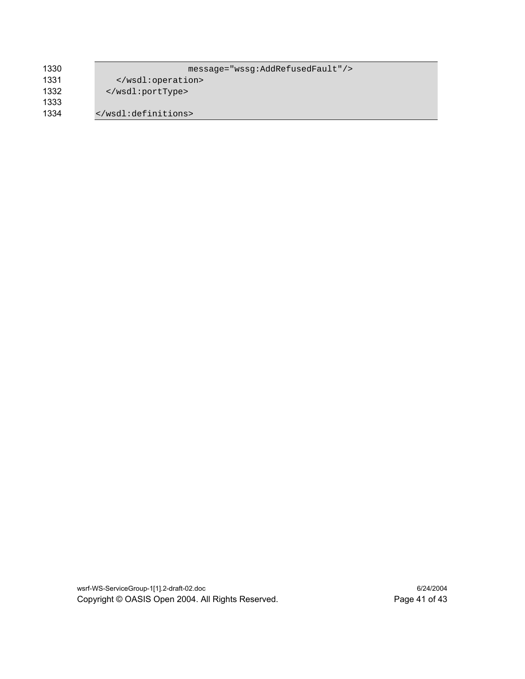| 1330 | message="wssg:AddRefusedFault"/> |  |  |
|------|----------------------------------|--|--|
| 1331 | $\langle wsd1:operation \rangle$ |  |  |
| 1332 |                                  |  |  |
| 1333 |                                  |  |  |
| 1334 |                                  |  |  |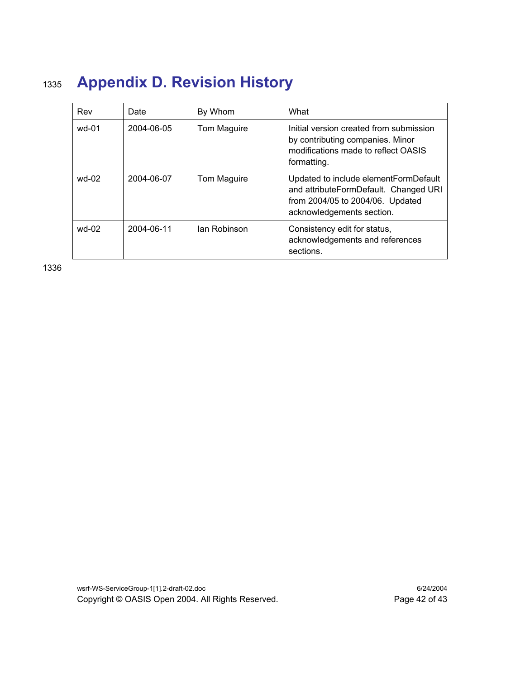# <sup>1335</sup>**Appendix D. Revision History**

| Rev     | Date       | By Whom            | What                                                                                                                                            |
|---------|------------|--------------------|-------------------------------------------------------------------------------------------------------------------------------------------------|
| wd-01   | 2004-06-05 | Tom Maguire        | Initial version created from submission<br>by contributing companies. Minor<br>modifications made to reflect OASIS<br>formatting.               |
| wd-02   | 2004-06-07 | <b>Tom Maguire</b> | Updated to include elementFormDefault<br>and attributeFormDefault. Changed URI<br>from 2004/05 to 2004/06. Updated<br>acknowledgements section. |
| $wd-02$ | 2004-06-11 | lan Robinson       | Consistency edit for status,<br>acknowledgements and references<br>sections.                                                                    |

1336